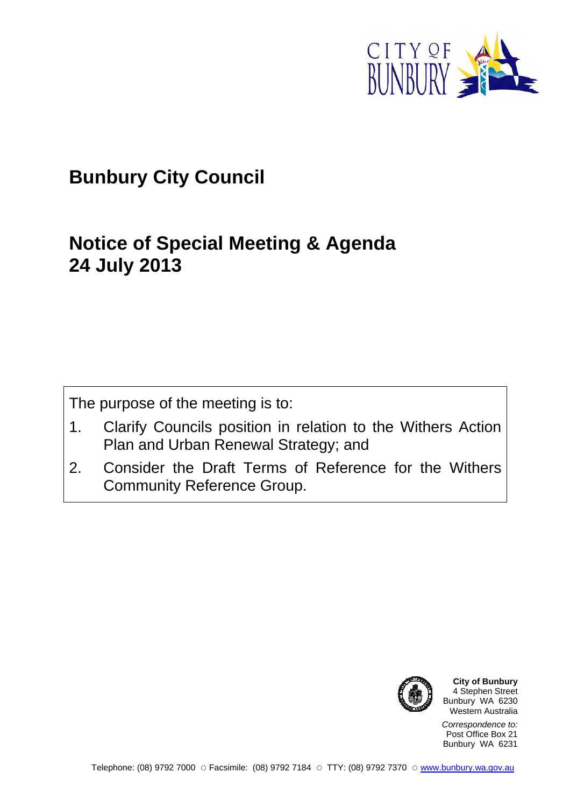

# **Bunbury City Council**

# **Notice of Special Meeting & Agenda 24 July 2013**

The purpose of the meeting is to:

- 1. Clarify Councils position in relation to the Withers Action Plan and Urban Renewal Strategy; and
- 2. Consider the Draft Terms of Reference for the Withers Community Reference Group.



**City of Bunbury** 4 Stephen Street Bunbury WA 6230 Western Australia

*Correspondence to:* Post Office Box 21 Bunbury WA 6231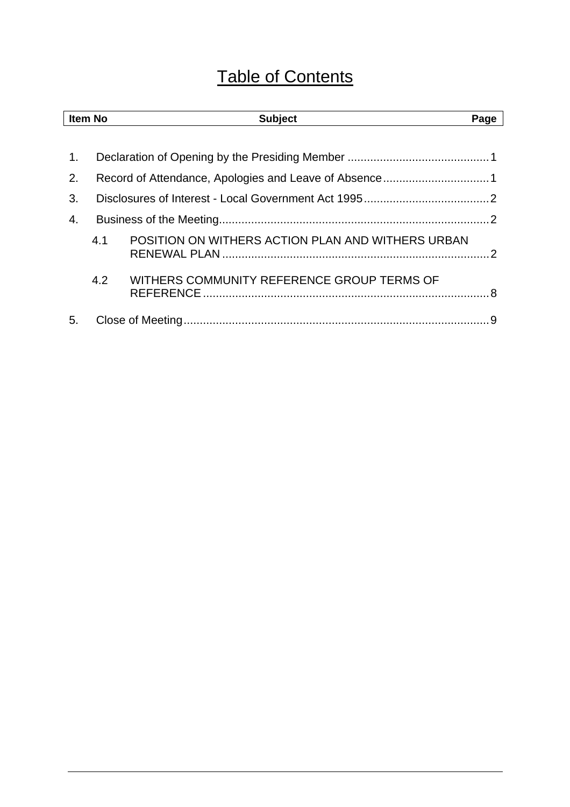# Table of Contents

| <b>Item No</b> |     | <b>Subject</b>                                    | Page |  |  |  |
|----------------|-----|---------------------------------------------------|------|--|--|--|
|                |     |                                                   |      |  |  |  |
| 1.             |     |                                                   |      |  |  |  |
| 2.             |     |                                                   |      |  |  |  |
| 3.             |     |                                                   |      |  |  |  |
| 4.             |     |                                                   |      |  |  |  |
|                | 4.1 | POSITION ON WITHERS ACTION PLAN AND WITHERS URBAN |      |  |  |  |
|                | 4.2 | WITHERS COMMUNITY REFERENCE GROUP TERMS OF        |      |  |  |  |
| 5.             |     |                                                   | 9    |  |  |  |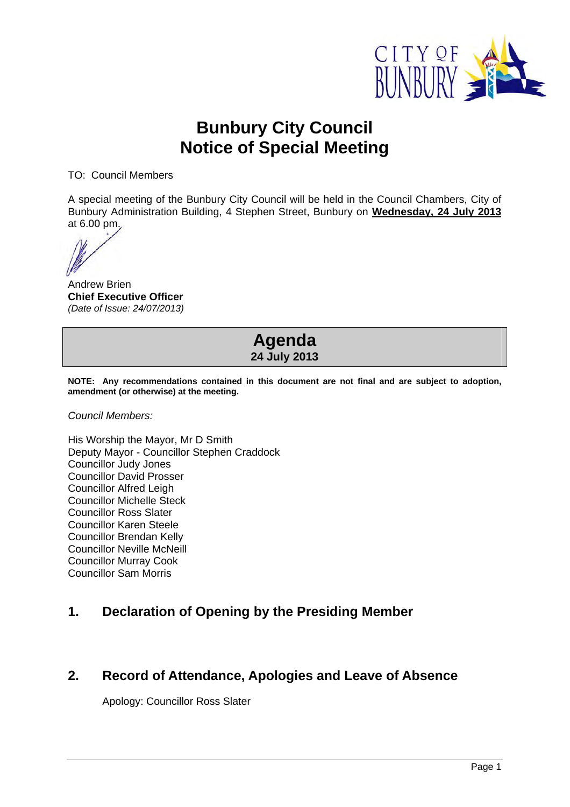

## **Bunbury City Council Notice of Special Meeting**

TO: Council Members

A special meeting of the Bunbury City Council will be held in the Council Chambers, City of Bunbury Administration Building, 4 Stephen Street, Bunbury on **Wednesday, 24 July 2013** at 6.00 pm.

Andrew Brien **Chief Executive Officer**  *(Date of Issue: 24/07/2013)* 

## **Agenda 24 July 2013**

**NOTE: Any recommendations contained in this document are not final and are subject to adoption, amendment (or otherwise) at the meeting.** 

*Council Members:* 

His Worship the Mayor, Mr D Smith Deputy Mayor - Councillor Stephen Craddock Councillor Judy Jones Councillor David Prosser Councillor Alfred Leigh Councillor Michelle Steck Councillor Ross Slater Councillor Karen Steele Councillor Brendan Kelly Councillor Neville McNeill Councillor Murray Cook Councillor Sam Morris

## **1. Declaration of Opening by the Presiding Member**

## **2. Record of Attendance, Apologies and Leave of Absence**

Apology: Councillor Ross Slater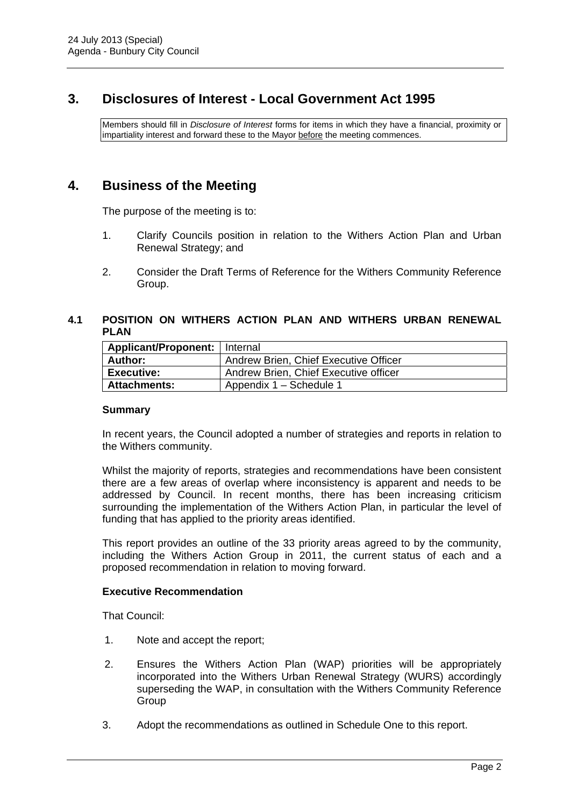## **3. Disclosures of Interest - Local Government Act 1995**

Members should fill in *Disclosure of Interest* forms for items in which they have a financial, proximity or impartiality interest and forward these to the Mayor before the meeting commences.

## **4. Business of the Meeting**

The purpose of the meeting is to:

- 1. Clarify Councils position in relation to the Withers Action Plan and Urban Renewal Strategy; and
- 2. Consider the Draft Terms of Reference for the Withers Community Reference Group.

#### **4.1 POSITION ON WITHERS ACTION PLAN AND WITHERS URBAN RENEWAL PLAN**

| Applicant/Proponent:   Internal |                                       |
|---------------------------------|---------------------------------------|
| Author:                         | Andrew Brien, Chief Executive Officer |
| <b>Executive:</b>               | Andrew Brien, Chief Executive officer |
| <b>Attachments:</b>             | Appendix 1 - Schedule 1               |

#### **Summary**

In recent years, the Council adopted a number of strategies and reports in relation to the Withers community.

Whilst the majority of reports, strategies and recommendations have been consistent there are a few areas of overlap where inconsistency is apparent and needs to be addressed by Council. In recent months, there has been increasing criticism surrounding the implementation of the Withers Action Plan, in particular the level of funding that has applied to the priority areas identified.

This report provides an outline of the 33 priority areas agreed to by the community, including the Withers Action Group in 2011, the current status of each and a proposed recommendation in relation to moving forward.

#### **Executive Recommendation**

That Council:

- 1. Note and accept the report;
- 2. Ensures the Withers Action Plan (WAP) priorities will be appropriately incorporated into the Withers Urban Renewal Strategy (WURS) accordingly superseding the WAP, in consultation with the Withers Community Reference Group
- 3. Adopt the recommendations as outlined in Schedule One to this report.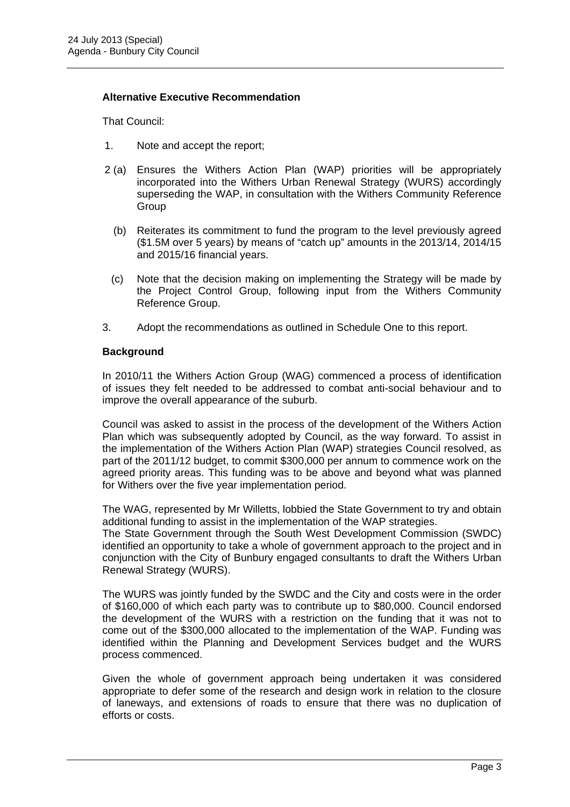#### **Alternative Executive Recommendation**

That Council:

- 1. Note and accept the report;
- 2 (a) Ensures the Withers Action Plan (WAP) priorities will be appropriately incorporated into the Withers Urban Renewal Strategy (WURS) accordingly superseding the WAP, in consultation with the Withers Community Reference **Group** 
	- (b) Reiterates its commitment to fund the program to the level previously agreed (\$1.5M over 5 years) by means of "catch up" amounts in the 2013/14, 2014/15 and 2015/16 financial years.
	- (c) Note that the decision making on implementing the Strategy will be made by the Project Control Group, following input from the Withers Community Reference Group.
- 3. Adopt the recommendations as outlined in Schedule One to this report.

#### **Background**

In 2010/11 the Withers Action Group (WAG) commenced a process of identification of issues they felt needed to be addressed to combat anti-social behaviour and to improve the overall appearance of the suburb.

Council was asked to assist in the process of the development of the Withers Action Plan which was subsequently adopted by Council, as the way forward. To assist in the implementation of the Withers Action Plan (WAP) strategies Council resolved, as part of the 2011/12 budget, to commit \$300,000 per annum to commence work on the agreed priority areas. This funding was to be above and beyond what was planned for Withers over the five year implementation period.

The WAG, represented by Mr Willetts, lobbied the State Government to try and obtain additional funding to assist in the implementation of the WAP strategies. The State Government through the South West Development Commission (SWDC)

identified an opportunity to take a whole of government approach to the project and in conjunction with the City of Bunbury engaged consultants to draft the Withers Urban Renewal Strategy (WURS).

The WURS was jointly funded by the SWDC and the City and costs were in the order of \$160,000 of which each party was to contribute up to \$80,000. Council endorsed the development of the WURS with a restriction on the funding that it was not to come out of the \$300,000 allocated to the implementation of the WAP. Funding was identified within the Planning and Development Services budget and the WURS process commenced.

Given the whole of government approach being undertaken it was considered appropriate to defer some of the research and design work in relation to the closure of laneways, and extensions of roads to ensure that there was no duplication of efforts or costs.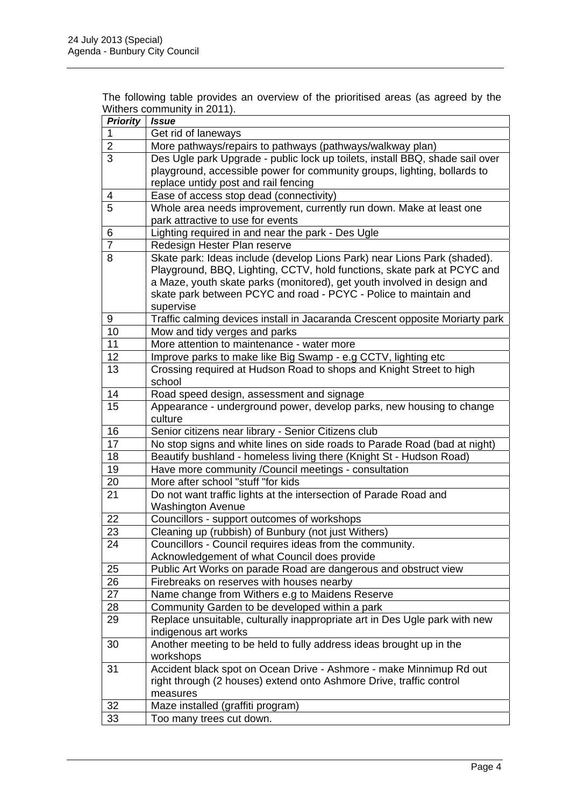| The following table provides an overview of the prioritised areas (as agreed by the |  |  |
|-------------------------------------------------------------------------------------|--|--|
| Withers community in 2011).                                                         |  |  |

| Get rid of laneways<br>$\overline{2}$<br>More pathways/repairs to pathways (pathways/walkway plan)<br>$\overline{3}$<br>Des Ugle park Upgrade - public lock up toilets, install BBQ, shade sail over<br>playground, accessible power for community groups, lighting, bollards to<br>replace untidy post and rail fencing<br>Ease of access stop dead (connectivity)<br>4<br>5<br>Whole area needs improvement, currently run down. Make at least one<br>park attractive to use for events<br>Lighting required in and near the park - Des Ugle<br>6<br>$\overline{7}$<br>Redesign Hester Plan reserve<br>Skate park: Ideas include (develop Lions Park) near Lions Park (shaded).<br>8<br>Playground, BBQ, Lighting, CCTV, hold functions, skate park at PCYC and<br>a Maze, youth skate parks (monitored), get youth involved in design and<br>skate park between PCYC and road - PCYC - Police to maintain and<br>supervise<br>Traffic calming devices install in Jacaranda Crescent opposite Moriarty park<br>9<br>10<br>Mow and tidy verges and parks<br>11<br>More attention to maintenance - water more<br>12<br>Improve parks to make like Big Swamp - e.g CCTV, lighting etc<br>13<br>Crossing required at Hudson Road to shops and Knight Street to high<br>school<br>14<br>Road speed design, assessment and signage<br>15<br>Appearance - underground power, develop parks, new housing to change<br>culture<br>16<br>Senior citizens near library - Senior Citizens club<br>17<br>No stop signs and white lines on side roads to Parade Road (bad at night)<br>18<br>Beautify bushland - homeless living there (Knight St - Hudson Road)<br>19<br>Have more community / Council meetings - consultation<br>More after school "stuff "for kids<br>20<br>Do not want traffic lights at the intersection of Parade Road and<br>21<br><b>Washington Avenue</b><br>22<br>Councillors - support outcomes of workshops<br>Cleaning up (rubbish) of Bunbury (not just Withers)<br>23<br>24<br>Councillors - Council requires ideas from the community.<br>Acknowledgement of what Council does provide<br>Public Art Works on parade Road are dangerous and obstruct view<br>25<br>26<br>Firebreaks on reserves with houses nearby<br>27<br>Name change from Withers e.g to Maidens Reserve<br>28<br>Community Garden to be developed within a park<br>Replace unsuitable, culturally inappropriate art in Des Ugle park with new<br>29<br>indigenous art works<br>Another meeting to be held to fully address ideas brought up in the<br>30<br>workshops<br>Accident black spot on Ocean Drive - Ashmore - make Minnimup Rd out<br>31<br>right through (2 houses) extend onto Ashmore Drive, traffic control<br>measures<br>32<br>Maze installed (graffiti program)<br>33<br>Too many trees cut down. | <b>Priority</b> | $\frac{1}{2}$<br><i><b>Issue</b></i> |
|------------------------------------------------------------------------------------------------------------------------------------------------------------------------------------------------------------------------------------------------------------------------------------------------------------------------------------------------------------------------------------------------------------------------------------------------------------------------------------------------------------------------------------------------------------------------------------------------------------------------------------------------------------------------------------------------------------------------------------------------------------------------------------------------------------------------------------------------------------------------------------------------------------------------------------------------------------------------------------------------------------------------------------------------------------------------------------------------------------------------------------------------------------------------------------------------------------------------------------------------------------------------------------------------------------------------------------------------------------------------------------------------------------------------------------------------------------------------------------------------------------------------------------------------------------------------------------------------------------------------------------------------------------------------------------------------------------------------------------------------------------------------------------------------------------------------------------------------------------------------------------------------------------------------------------------------------------------------------------------------------------------------------------------------------------------------------------------------------------------------------------------------------------------------------------------------------------------------------------------------------------------------------------------------------------------------------------------------------------------------------------------------------------------------------------------------------------------------------------------------------------------------------------------------------------------------------------------------------------------------------------------------------------------------------------------------------------------------------------------------------------------------------------------------------------|-----------------|--------------------------------------|
|                                                                                                                                                                                                                                                                                                                                                                                                                                                                                                                                                                                                                                                                                                                                                                                                                                                                                                                                                                                                                                                                                                                                                                                                                                                                                                                                                                                                                                                                                                                                                                                                                                                                                                                                                                                                                                                                                                                                                                                                                                                                                                                                                                                                                                                                                                                                                                                                                                                                                                                                                                                                                                                                                                                                                                                                            |                 |                                      |
|                                                                                                                                                                                                                                                                                                                                                                                                                                                                                                                                                                                                                                                                                                                                                                                                                                                                                                                                                                                                                                                                                                                                                                                                                                                                                                                                                                                                                                                                                                                                                                                                                                                                                                                                                                                                                                                                                                                                                                                                                                                                                                                                                                                                                                                                                                                                                                                                                                                                                                                                                                                                                                                                                                                                                                                                            |                 |                                      |
|                                                                                                                                                                                                                                                                                                                                                                                                                                                                                                                                                                                                                                                                                                                                                                                                                                                                                                                                                                                                                                                                                                                                                                                                                                                                                                                                                                                                                                                                                                                                                                                                                                                                                                                                                                                                                                                                                                                                                                                                                                                                                                                                                                                                                                                                                                                                                                                                                                                                                                                                                                                                                                                                                                                                                                                                            |                 |                                      |
|                                                                                                                                                                                                                                                                                                                                                                                                                                                                                                                                                                                                                                                                                                                                                                                                                                                                                                                                                                                                                                                                                                                                                                                                                                                                                                                                                                                                                                                                                                                                                                                                                                                                                                                                                                                                                                                                                                                                                                                                                                                                                                                                                                                                                                                                                                                                                                                                                                                                                                                                                                                                                                                                                                                                                                                                            |                 |                                      |
|                                                                                                                                                                                                                                                                                                                                                                                                                                                                                                                                                                                                                                                                                                                                                                                                                                                                                                                                                                                                                                                                                                                                                                                                                                                                                                                                                                                                                                                                                                                                                                                                                                                                                                                                                                                                                                                                                                                                                                                                                                                                                                                                                                                                                                                                                                                                                                                                                                                                                                                                                                                                                                                                                                                                                                                                            |                 |                                      |
|                                                                                                                                                                                                                                                                                                                                                                                                                                                                                                                                                                                                                                                                                                                                                                                                                                                                                                                                                                                                                                                                                                                                                                                                                                                                                                                                                                                                                                                                                                                                                                                                                                                                                                                                                                                                                                                                                                                                                                                                                                                                                                                                                                                                                                                                                                                                                                                                                                                                                                                                                                                                                                                                                                                                                                                                            |                 |                                      |
|                                                                                                                                                                                                                                                                                                                                                                                                                                                                                                                                                                                                                                                                                                                                                                                                                                                                                                                                                                                                                                                                                                                                                                                                                                                                                                                                                                                                                                                                                                                                                                                                                                                                                                                                                                                                                                                                                                                                                                                                                                                                                                                                                                                                                                                                                                                                                                                                                                                                                                                                                                                                                                                                                                                                                                                                            |                 |                                      |
|                                                                                                                                                                                                                                                                                                                                                                                                                                                                                                                                                                                                                                                                                                                                                                                                                                                                                                                                                                                                                                                                                                                                                                                                                                                                                                                                                                                                                                                                                                                                                                                                                                                                                                                                                                                                                                                                                                                                                                                                                                                                                                                                                                                                                                                                                                                                                                                                                                                                                                                                                                                                                                                                                                                                                                                                            |                 |                                      |
|                                                                                                                                                                                                                                                                                                                                                                                                                                                                                                                                                                                                                                                                                                                                                                                                                                                                                                                                                                                                                                                                                                                                                                                                                                                                                                                                                                                                                                                                                                                                                                                                                                                                                                                                                                                                                                                                                                                                                                                                                                                                                                                                                                                                                                                                                                                                                                                                                                                                                                                                                                                                                                                                                                                                                                                                            |                 |                                      |
|                                                                                                                                                                                                                                                                                                                                                                                                                                                                                                                                                                                                                                                                                                                                                                                                                                                                                                                                                                                                                                                                                                                                                                                                                                                                                                                                                                                                                                                                                                                                                                                                                                                                                                                                                                                                                                                                                                                                                                                                                                                                                                                                                                                                                                                                                                                                                                                                                                                                                                                                                                                                                                                                                                                                                                                                            |                 |                                      |
|                                                                                                                                                                                                                                                                                                                                                                                                                                                                                                                                                                                                                                                                                                                                                                                                                                                                                                                                                                                                                                                                                                                                                                                                                                                                                                                                                                                                                                                                                                                                                                                                                                                                                                                                                                                                                                                                                                                                                                                                                                                                                                                                                                                                                                                                                                                                                                                                                                                                                                                                                                                                                                                                                                                                                                                                            |                 |                                      |
|                                                                                                                                                                                                                                                                                                                                                                                                                                                                                                                                                                                                                                                                                                                                                                                                                                                                                                                                                                                                                                                                                                                                                                                                                                                                                                                                                                                                                                                                                                                                                                                                                                                                                                                                                                                                                                                                                                                                                                                                                                                                                                                                                                                                                                                                                                                                                                                                                                                                                                                                                                                                                                                                                                                                                                                                            |                 |                                      |
|                                                                                                                                                                                                                                                                                                                                                                                                                                                                                                                                                                                                                                                                                                                                                                                                                                                                                                                                                                                                                                                                                                                                                                                                                                                                                                                                                                                                                                                                                                                                                                                                                                                                                                                                                                                                                                                                                                                                                                                                                                                                                                                                                                                                                                                                                                                                                                                                                                                                                                                                                                                                                                                                                                                                                                                                            |                 |                                      |
|                                                                                                                                                                                                                                                                                                                                                                                                                                                                                                                                                                                                                                                                                                                                                                                                                                                                                                                                                                                                                                                                                                                                                                                                                                                                                                                                                                                                                                                                                                                                                                                                                                                                                                                                                                                                                                                                                                                                                                                                                                                                                                                                                                                                                                                                                                                                                                                                                                                                                                                                                                                                                                                                                                                                                                                                            |                 |                                      |
|                                                                                                                                                                                                                                                                                                                                                                                                                                                                                                                                                                                                                                                                                                                                                                                                                                                                                                                                                                                                                                                                                                                                                                                                                                                                                                                                                                                                                                                                                                                                                                                                                                                                                                                                                                                                                                                                                                                                                                                                                                                                                                                                                                                                                                                                                                                                                                                                                                                                                                                                                                                                                                                                                                                                                                                                            |                 |                                      |
|                                                                                                                                                                                                                                                                                                                                                                                                                                                                                                                                                                                                                                                                                                                                                                                                                                                                                                                                                                                                                                                                                                                                                                                                                                                                                                                                                                                                                                                                                                                                                                                                                                                                                                                                                                                                                                                                                                                                                                                                                                                                                                                                                                                                                                                                                                                                                                                                                                                                                                                                                                                                                                                                                                                                                                                                            |                 |                                      |
|                                                                                                                                                                                                                                                                                                                                                                                                                                                                                                                                                                                                                                                                                                                                                                                                                                                                                                                                                                                                                                                                                                                                                                                                                                                                                                                                                                                                                                                                                                                                                                                                                                                                                                                                                                                                                                                                                                                                                                                                                                                                                                                                                                                                                                                                                                                                                                                                                                                                                                                                                                                                                                                                                                                                                                                                            |                 |                                      |
|                                                                                                                                                                                                                                                                                                                                                                                                                                                                                                                                                                                                                                                                                                                                                                                                                                                                                                                                                                                                                                                                                                                                                                                                                                                                                                                                                                                                                                                                                                                                                                                                                                                                                                                                                                                                                                                                                                                                                                                                                                                                                                                                                                                                                                                                                                                                                                                                                                                                                                                                                                                                                                                                                                                                                                                                            |                 |                                      |
|                                                                                                                                                                                                                                                                                                                                                                                                                                                                                                                                                                                                                                                                                                                                                                                                                                                                                                                                                                                                                                                                                                                                                                                                                                                                                                                                                                                                                                                                                                                                                                                                                                                                                                                                                                                                                                                                                                                                                                                                                                                                                                                                                                                                                                                                                                                                                                                                                                                                                                                                                                                                                                                                                                                                                                                                            |                 |                                      |
|                                                                                                                                                                                                                                                                                                                                                                                                                                                                                                                                                                                                                                                                                                                                                                                                                                                                                                                                                                                                                                                                                                                                                                                                                                                                                                                                                                                                                                                                                                                                                                                                                                                                                                                                                                                                                                                                                                                                                                                                                                                                                                                                                                                                                                                                                                                                                                                                                                                                                                                                                                                                                                                                                                                                                                                                            |                 |                                      |
|                                                                                                                                                                                                                                                                                                                                                                                                                                                                                                                                                                                                                                                                                                                                                                                                                                                                                                                                                                                                                                                                                                                                                                                                                                                                                                                                                                                                                                                                                                                                                                                                                                                                                                                                                                                                                                                                                                                                                                                                                                                                                                                                                                                                                                                                                                                                                                                                                                                                                                                                                                                                                                                                                                                                                                                                            |                 |                                      |
|                                                                                                                                                                                                                                                                                                                                                                                                                                                                                                                                                                                                                                                                                                                                                                                                                                                                                                                                                                                                                                                                                                                                                                                                                                                                                                                                                                                                                                                                                                                                                                                                                                                                                                                                                                                                                                                                                                                                                                                                                                                                                                                                                                                                                                                                                                                                                                                                                                                                                                                                                                                                                                                                                                                                                                                                            |                 |                                      |
|                                                                                                                                                                                                                                                                                                                                                                                                                                                                                                                                                                                                                                                                                                                                                                                                                                                                                                                                                                                                                                                                                                                                                                                                                                                                                                                                                                                                                                                                                                                                                                                                                                                                                                                                                                                                                                                                                                                                                                                                                                                                                                                                                                                                                                                                                                                                                                                                                                                                                                                                                                                                                                                                                                                                                                                                            |                 |                                      |
|                                                                                                                                                                                                                                                                                                                                                                                                                                                                                                                                                                                                                                                                                                                                                                                                                                                                                                                                                                                                                                                                                                                                                                                                                                                                                                                                                                                                                                                                                                                                                                                                                                                                                                                                                                                                                                                                                                                                                                                                                                                                                                                                                                                                                                                                                                                                                                                                                                                                                                                                                                                                                                                                                                                                                                                                            |                 |                                      |
|                                                                                                                                                                                                                                                                                                                                                                                                                                                                                                                                                                                                                                                                                                                                                                                                                                                                                                                                                                                                                                                                                                                                                                                                                                                                                                                                                                                                                                                                                                                                                                                                                                                                                                                                                                                                                                                                                                                                                                                                                                                                                                                                                                                                                                                                                                                                                                                                                                                                                                                                                                                                                                                                                                                                                                                                            |                 |                                      |
|                                                                                                                                                                                                                                                                                                                                                                                                                                                                                                                                                                                                                                                                                                                                                                                                                                                                                                                                                                                                                                                                                                                                                                                                                                                                                                                                                                                                                                                                                                                                                                                                                                                                                                                                                                                                                                                                                                                                                                                                                                                                                                                                                                                                                                                                                                                                                                                                                                                                                                                                                                                                                                                                                                                                                                                                            |                 |                                      |
|                                                                                                                                                                                                                                                                                                                                                                                                                                                                                                                                                                                                                                                                                                                                                                                                                                                                                                                                                                                                                                                                                                                                                                                                                                                                                                                                                                                                                                                                                                                                                                                                                                                                                                                                                                                                                                                                                                                                                                                                                                                                                                                                                                                                                                                                                                                                                                                                                                                                                                                                                                                                                                                                                                                                                                                                            |                 |                                      |
|                                                                                                                                                                                                                                                                                                                                                                                                                                                                                                                                                                                                                                                                                                                                                                                                                                                                                                                                                                                                                                                                                                                                                                                                                                                                                                                                                                                                                                                                                                                                                                                                                                                                                                                                                                                                                                                                                                                                                                                                                                                                                                                                                                                                                                                                                                                                                                                                                                                                                                                                                                                                                                                                                                                                                                                                            |                 |                                      |
|                                                                                                                                                                                                                                                                                                                                                                                                                                                                                                                                                                                                                                                                                                                                                                                                                                                                                                                                                                                                                                                                                                                                                                                                                                                                                                                                                                                                                                                                                                                                                                                                                                                                                                                                                                                                                                                                                                                                                                                                                                                                                                                                                                                                                                                                                                                                                                                                                                                                                                                                                                                                                                                                                                                                                                                                            |                 |                                      |
|                                                                                                                                                                                                                                                                                                                                                                                                                                                                                                                                                                                                                                                                                                                                                                                                                                                                                                                                                                                                                                                                                                                                                                                                                                                                                                                                                                                                                                                                                                                                                                                                                                                                                                                                                                                                                                                                                                                                                                                                                                                                                                                                                                                                                                                                                                                                                                                                                                                                                                                                                                                                                                                                                                                                                                                                            |                 |                                      |
|                                                                                                                                                                                                                                                                                                                                                                                                                                                                                                                                                                                                                                                                                                                                                                                                                                                                                                                                                                                                                                                                                                                                                                                                                                                                                                                                                                                                                                                                                                                                                                                                                                                                                                                                                                                                                                                                                                                                                                                                                                                                                                                                                                                                                                                                                                                                                                                                                                                                                                                                                                                                                                                                                                                                                                                                            |                 |                                      |
|                                                                                                                                                                                                                                                                                                                                                                                                                                                                                                                                                                                                                                                                                                                                                                                                                                                                                                                                                                                                                                                                                                                                                                                                                                                                                                                                                                                                                                                                                                                                                                                                                                                                                                                                                                                                                                                                                                                                                                                                                                                                                                                                                                                                                                                                                                                                                                                                                                                                                                                                                                                                                                                                                                                                                                                                            |                 |                                      |
|                                                                                                                                                                                                                                                                                                                                                                                                                                                                                                                                                                                                                                                                                                                                                                                                                                                                                                                                                                                                                                                                                                                                                                                                                                                                                                                                                                                                                                                                                                                                                                                                                                                                                                                                                                                                                                                                                                                                                                                                                                                                                                                                                                                                                                                                                                                                                                                                                                                                                                                                                                                                                                                                                                                                                                                                            |                 |                                      |
|                                                                                                                                                                                                                                                                                                                                                                                                                                                                                                                                                                                                                                                                                                                                                                                                                                                                                                                                                                                                                                                                                                                                                                                                                                                                                                                                                                                                                                                                                                                                                                                                                                                                                                                                                                                                                                                                                                                                                                                                                                                                                                                                                                                                                                                                                                                                                                                                                                                                                                                                                                                                                                                                                                                                                                                                            |                 |                                      |
|                                                                                                                                                                                                                                                                                                                                                                                                                                                                                                                                                                                                                                                                                                                                                                                                                                                                                                                                                                                                                                                                                                                                                                                                                                                                                                                                                                                                                                                                                                                                                                                                                                                                                                                                                                                                                                                                                                                                                                                                                                                                                                                                                                                                                                                                                                                                                                                                                                                                                                                                                                                                                                                                                                                                                                                                            |                 |                                      |
|                                                                                                                                                                                                                                                                                                                                                                                                                                                                                                                                                                                                                                                                                                                                                                                                                                                                                                                                                                                                                                                                                                                                                                                                                                                                                                                                                                                                                                                                                                                                                                                                                                                                                                                                                                                                                                                                                                                                                                                                                                                                                                                                                                                                                                                                                                                                                                                                                                                                                                                                                                                                                                                                                                                                                                                                            |                 |                                      |
|                                                                                                                                                                                                                                                                                                                                                                                                                                                                                                                                                                                                                                                                                                                                                                                                                                                                                                                                                                                                                                                                                                                                                                                                                                                                                                                                                                                                                                                                                                                                                                                                                                                                                                                                                                                                                                                                                                                                                                                                                                                                                                                                                                                                                                                                                                                                                                                                                                                                                                                                                                                                                                                                                                                                                                                                            |                 |                                      |
|                                                                                                                                                                                                                                                                                                                                                                                                                                                                                                                                                                                                                                                                                                                                                                                                                                                                                                                                                                                                                                                                                                                                                                                                                                                                                                                                                                                                                                                                                                                                                                                                                                                                                                                                                                                                                                                                                                                                                                                                                                                                                                                                                                                                                                                                                                                                                                                                                                                                                                                                                                                                                                                                                                                                                                                                            |                 |                                      |
|                                                                                                                                                                                                                                                                                                                                                                                                                                                                                                                                                                                                                                                                                                                                                                                                                                                                                                                                                                                                                                                                                                                                                                                                                                                                                                                                                                                                                                                                                                                                                                                                                                                                                                                                                                                                                                                                                                                                                                                                                                                                                                                                                                                                                                                                                                                                                                                                                                                                                                                                                                                                                                                                                                                                                                                                            |                 |                                      |
|                                                                                                                                                                                                                                                                                                                                                                                                                                                                                                                                                                                                                                                                                                                                                                                                                                                                                                                                                                                                                                                                                                                                                                                                                                                                                                                                                                                                                                                                                                                                                                                                                                                                                                                                                                                                                                                                                                                                                                                                                                                                                                                                                                                                                                                                                                                                                                                                                                                                                                                                                                                                                                                                                                                                                                                                            |                 |                                      |
|                                                                                                                                                                                                                                                                                                                                                                                                                                                                                                                                                                                                                                                                                                                                                                                                                                                                                                                                                                                                                                                                                                                                                                                                                                                                                                                                                                                                                                                                                                                                                                                                                                                                                                                                                                                                                                                                                                                                                                                                                                                                                                                                                                                                                                                                                                                                                                                                                                                                                                                                                                                                                                                                                                                                                                                                            |                 |                                      |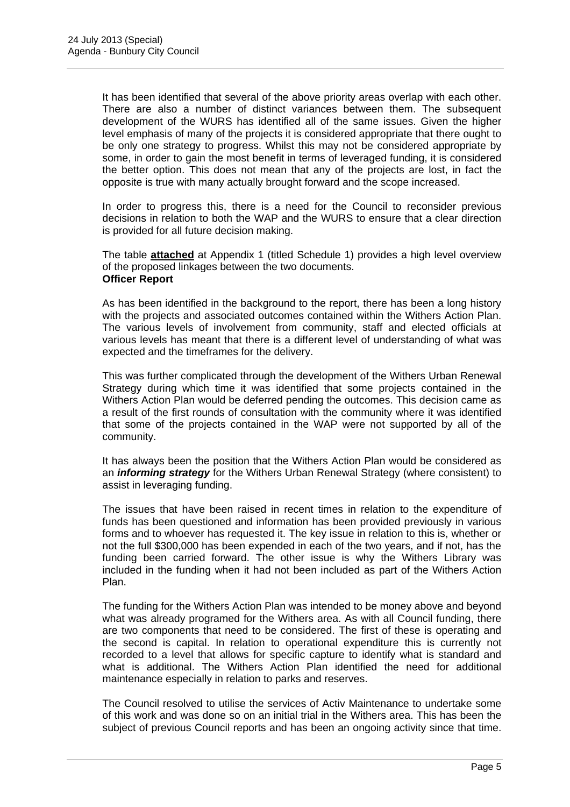It has been identified that several of the above priority areas overlap with each other. There are also a number of distinct variances between them. The subsequent development of the WURS has identified all of the same issues. Given the higher level emphasis of many of the projects it is considered appropriate that there ought to be only one strategy to progress. Whilst this may not be considered appropriate by some, in order to gain the most benefit in terms of leveraged funding, it is considered the better option. This does not mean that any of the projects are lost, in fact the opposite is true with many actually brought forward and the scope increased.

In order to progress this, there is a need for the Council to reconsider previous decisions in relation to both the WAP and the WURS to ensure that a clear direction is provided for all future decision making.

The table **attached** at Appendix 1 (titled Schedule 1) provides a high level overview of the proposed linkages between the two documents. **Officer Report**

As has been identified in the background to the report, there has been a long history with the projects and associated outcomes contained within the Withers Action Plan. The various levels of involvement from community, staff and elected officials at various levels has meant that there is a different level of understanding of what was expected and the timeframes for the delivery.

This was further complicated through the development of the Withers Urban Renewal Strategy during which time it was identified that some projects contained in the Withers Action Plan would be deferred pending the outcomes. This decision came as a result of the first rounds of consultation with the community where it was identified that some of the projects contained in the WAP were not supported by all of the community.

It has always been the position that the Withers Action Plan would be considered as an *informing strategy* for the Withers Urban Renewal Strategy (where consistent) to assist in leveraging funding.

The issues that have been raised in recent times in relation to the expenditure of funds has been questioned and information has been provided previously in various forms and to whoever has requested it. The key issue in relation to this is, whether or not the full \$300,000 has been expended in each of the two years, and if not, has the funding been carried forward. The other issue is why the Withers Library was included in the funding when it had not been included as part of the Withers Action Plan.

The funding for the Withers Action Plan was intended to be money above and beyond what was already programed for the Withers area. As with all Council funding, there are two components that need to be considered. The first of these is operating and the second is capital. In relation to operational expenditure this is currently not recorded to a level that allows for specific capture to identify what is standard and what is additional. The Withers Action Plan identified the need for additional maintenance especially in relation to parks and reserves.

The Council resolved to utilise the services of Activ Maintenance to undertake some of this work and was done so on an initial trial in the Withers area. This has been the subject of previous Council reports and has been an ongoing activity since that time.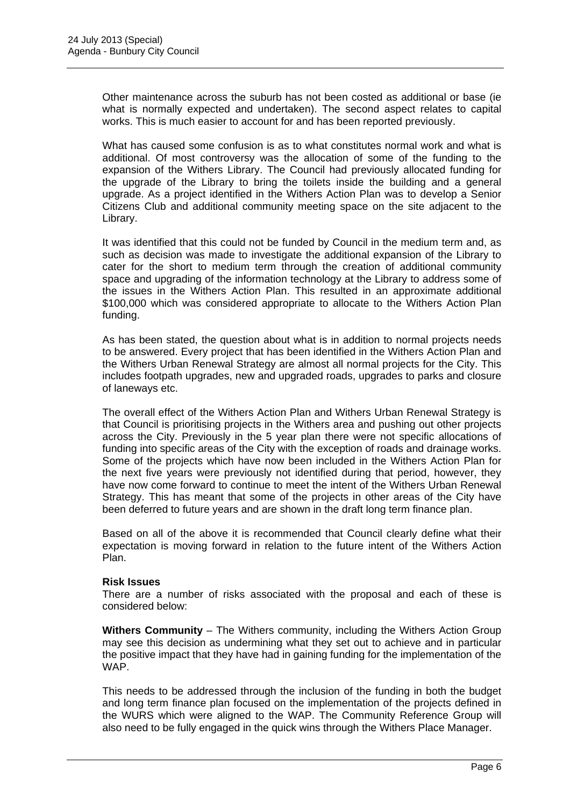Other maintenance across the suburb has not been costed as additional or base (ie what is normally expected and undertaken). The second aspect relates to capital works. This is much easier to account for and has been reported previously.

What has caused some confusion is as to what constitutes normal work and what is additional. Of most controversy was the allocation of some of the funding to the expansion of the Withers Library. The Council had previously allocated funding for the upgrade of the Library to bring the toilets inside the building and a general upgrade. As a project identified in the Withers Action Plan was to develop a Senior Citizens Club and additional community meeting space on the site adjacent to the Library.

It was identified that this could not be funded by Council in the medium term and, as such as decision was made to investigate the additional expansion of the Library to cater for the short to medium term through the creation of additional community space and upgrading of the information technology at the Library to address some of the issues in the Withers Action Plan. This resulted in an approximate additional \$100,000 which was considered appropriate to allocate to the Withers Action Plan funding.

As has been stated, the question about what is in addition to normal projects needs to be answered. Every project that has been identified in the Withers Action Plan and the Withers Urban Renewal Strategy are almost all normal projects for the City. This includes footpath upgrades, new and upgraded roads, upgrades to parks and closure of laneways etc.

The overall effect of the Withers Action Plan and Withers Urban Renewal Strategy is that Council is prioritising projects in the Withers area and pushing out other projects across the City. Previously in the 5 year plan there were not specific allocations of funding into specific areas of the City with the exception of roads and drainage works. Some of the projects which have now been included in the Withers Action Plan for the next five years were previously not identified during that period, however, they have now come forward to continue to meet the intent of the Withers Urban Renewal Strategy. This has meant that some of the projects in other areas of the City have been deferred to future years and are shown in the draft long term finance plan.

Based on all of the above it is recommended that Council clearly define what their expectation is moving forward in relation to the future intent of the Withers Action Plan.

#### **Risk Issues**

There are a number of risks associated with the proposal and each of these is considered below:

**Withers Community** – The Withers community, including the Withers Action Group may see this decision as undermining what they set out to achieve and in particular the positive impact that they have had in gaining funding for the implementation of the WAP.

This needs to be addressed through the inclusion of the funding in both the budget and long term finance plan focused on the implementation of the projects defined in the WURS which were aligned to the WAP. The Community Reference Group will also need to be fully engaged in the quick wins through the Withers Place Manager.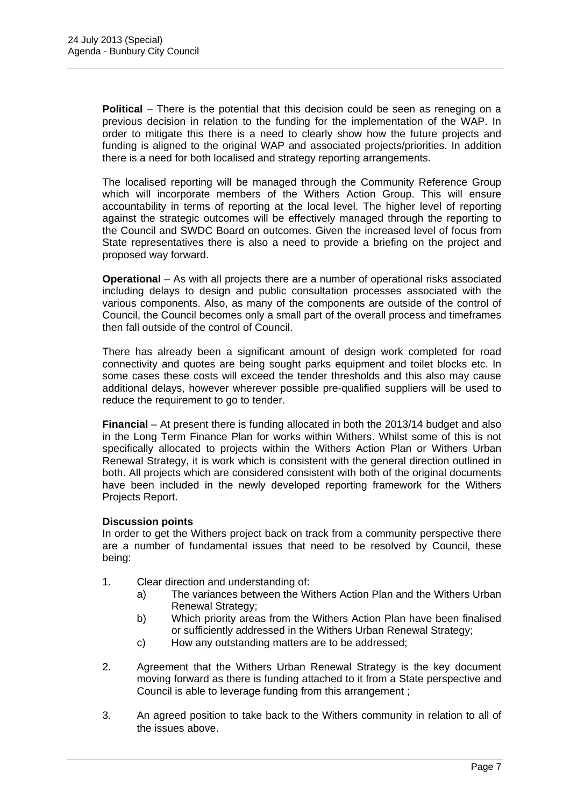**Political** – There is the potential that this decision could be seen as reneging on a previous decision in relation to the funding for the implementation of the WAP. In order to mitigate this there is a need to clearly show how the future projects and funding is aligned to the original WAP and associated projects/priorities. In addition there is a need for both localised and strategy reporting arrangements.

The localised reporting will be managed through the Community Reference Group which will incorporate members of the Withers Action Group. This will ensure accountability in terms of reporting at the local level. The higher level of reporting against the strategic outcomes will be effectively managed through the reporting to the Council and SWDC Board on outcomes. Given the increased level of focus from State representatives there is also a need to provide a briefing on the project and proposed way forward.

**Operational** – As with all projects there are a number of operational risks associated including delays to design and public consultation processes associated with the various components. Also, as many of the components are outside of the control of Council, the Council becomes only a small part of the overall process and timeframes then fall outside of the control of Council.

There has already been a significant amount of design work completed for road connectivity and quotes are being sought parks equipment and toilet blocks etc. In some cases these costs will exceed the tender thresholds and this also may cause additional delays, however wherever possible pre-qualified suppliers will be used to reduce the requirement to go to tender.

**Financial** – At present there is funding allocated in both the 2013/14 budget and also in the Long Term Finance Plan for works within Withers. Whilst some of this is not specifically allocated to projects within the Withers Action Plan or Withers Urban Renewal Strategy, it is work which is consistent with the general direction outlined in both. All projects which are considered consistent with both of the original documents have been included in the newly developed reporting framework for the Withers Projects Report.

#### **Discussion points**

In order to get the Withers project back on track from a community perspective there are a number of fundamental issues that need to be resolved by Council, these being:

- 1. Clear direction and understanding of:
	- a) The variances between the Withers Action Plan and the Withers Urban Renewal Strategy;
	- b) Which priority areas from the Withers Action Plan have been finalised or sufficiently addressed in the Withers Urban Renewal Strategy;
	- c) How any outstanding matters are to be addressed;
- 2. Agreement that the Withers Urban Renewal Strategy is the key document moving forward as there is funding attached to it from a State perspective and Council is able to leverage funding from this arrangement ;
- 3. An agreed position to take back to the Withers community in relation to all of the issues above.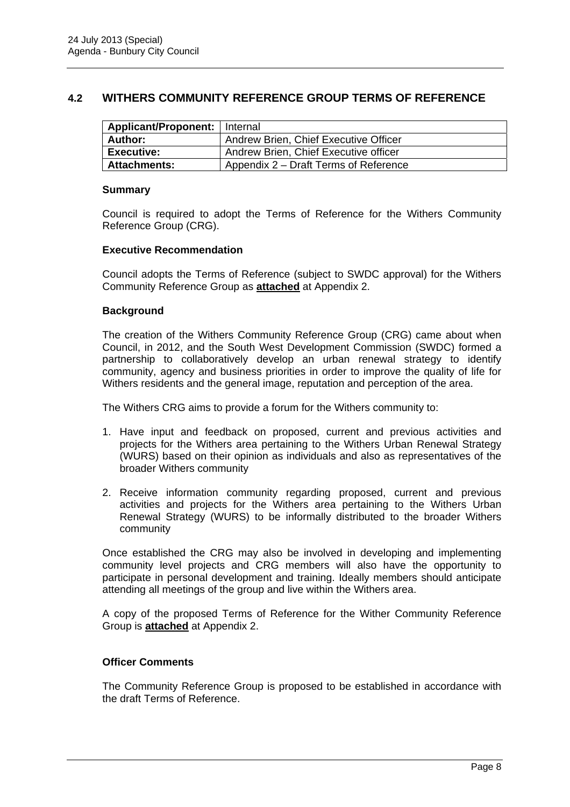#### **4.2 WITHERS COMMUNITY REFERENCE GROUP TERMS OF REFERENCE**

| <b>Applicant/Proponent:</b>   Internal |                                       |
|----------------------------------------|---------------------------------------|
| Author:                                | Andrew Brien, Chief Executive Officer |
| <b>Executive:</b>                      | Andrew Brien, Chief Executive officer |
| <b>Attachments:</b>                    | Appendix 2 – Draft Terms of Reference |

#### **Summary**

Council is required to adopt the Terms of Reference for the Withers Community Reference Group (CRG).

#### **Executive Recommendation**

Council adopts the Terms of Reference (subject to SWDC approval) for the Withers Community Reference Group as **attached** at Appendix 2.

#### **Background**

The creation of the Withers Community Reference Group (CRG) came about when Council, in 2012, and the South West Development Commission (SWDC) formed a partnership to collaboratively develop an urban renewal strategy to identify community, agency and business priorities in order to improve the quality of life for Withers residents and the general image, reputation and perception of the area.

The Withers CRG aims to provide a forum for the Withers community to:

- 1. Have input and feedback on proposed, current and previous activities and projects for the Withers area pertaining to the Withers Urban Renewal Strategy (WURS) based on their opinion as individuals and also as representatives of the broader Withers community
- 2. Receive information community regarding proposed, current and previous activities and projects for the Withers area pertaining to the Withers Urban Renewal Strategy (WURS) to be informally distributed to the broader Withers community

Once established the CRG may also be involved in developing and implementing community level projects and CRG members will also have the opportunity to participate in personal development and training. Ideally members should anticipate attending all meetings of the group and live within the Withers area.

A copy of the proposed Terms of Reference for the Wither Community Reference Group is **attached** at Appendix 2.

#### **Officer Comments**

The Community Reference Group is proposed to be established in accordance with the draft Terms of Reference.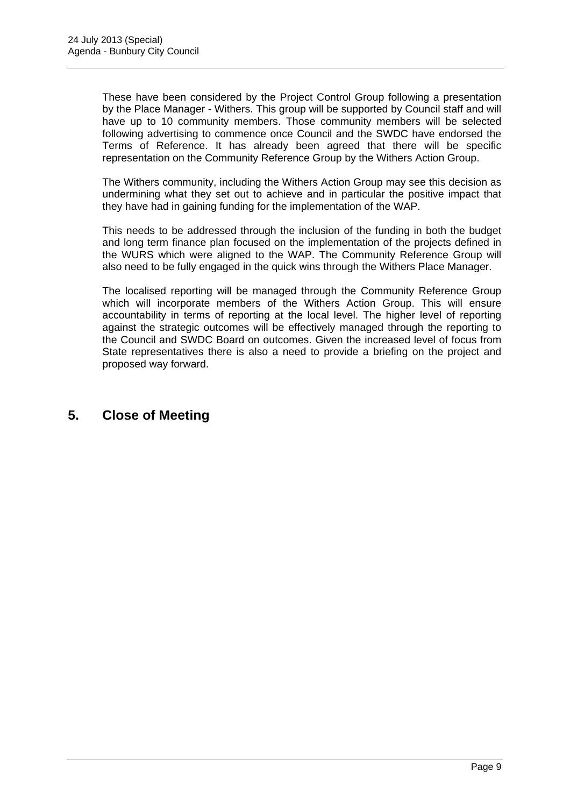These have been considered by the Project Control Group following a presentation by the Place Manager - Withers. This group will be supported by Council staff and will have up to 10 community members. Those community members will be selected following advertising to commence once Council and the SWDC have endorsed the Terms of Reference. It has already been agreed that there will be specific representation on the Community Reference Group by the Withers Action Group.

The Withers community, including the Withers Action Group may see this decision as undermining what they set out to achieve and in particular the positive impact that they have had in gaining funding for the implementation of the WAP.

This needs to be addressed through the inclusion of the funding in both the budget and long term finance plan focused on the implementation of the projects defined in the WURS which were aligned to the WAP. The Community Reference Group will also need to be fully engaged in the quick wins through the Withers Place Manager.

The localised reporting will be managed through the Community Reference Group which will incorporate members of the Withers Action Group. This will ensure accountability in terms of reporting at the local level. The higher level of reporting against the strategic outcomes will be effectively managed through the reporting to the Council and SWDC Board on outcomes. Given the increased level of focus from State representatives there is also a need to provide a briefing on the project and proposed way forward.

## **5. Close of Meeting**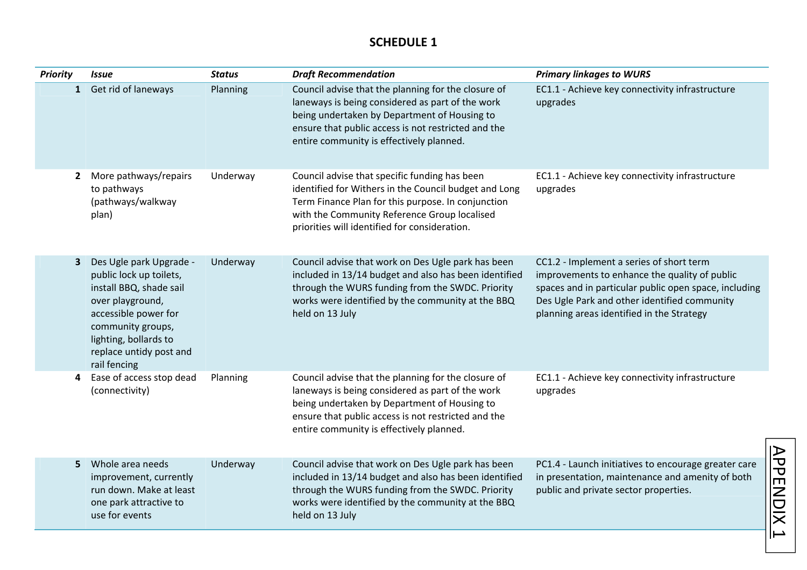### **SCHEDULE 1**

| <b>Priority</b> | <b>Issue</b>                                                                                                                                                                                                       | <b>Status</b> | <b>Draft Recommendation</b>                                                                                                                                                                                                                                   | <b>Primary linkages to WURS</b>                                                                                                                                                                                                                 |
|-----------------|--------------------------------------------------------------------------------------------------------------------------------------------------------------------------------------------------------------------|---------------|---------------------------------------------------------------------------------------------------------------------------------------------------------------------------------------------------------------------------------------------------------------|-------------------------------------------------------------------------------------------------------------------------------------------------------------------------------------------------------------------------------------------------|
| $\mathbf{1}$    | Get rid of laneways                                                                                                                                                                                                | Planning      | Council advise that the planning for the closure of<br>laneways is being considered as part of the work<br>being undertaken by Department of Housing to<br>ensure that public access is not restricted and the<br>entire community is effectively planned.    | EC1.1 - Achieve key connectivity infrastructure<br>upgrades                                                                                                                                                                                     |
| $\mathbf{2}$    | More pathways/repairs<br>to pathways<br>(pathways/walkway<br>plan)                                                                                                                                                 | Underway      | Council advise that specific funding has been<br>identified for Withers in the Council budget and Long<br>Term Finance Plan for this purpose. In conjunction<br>with the Community Reference Group localised<br>priorities will identified for consideration. | EC1.1 - Achieve key connectivity infrastructure<br>upgrades                                                                                                                                                                                     |
| 3               | Des Ugle park Upgrade -<br>public lock up toilets,<br>install BBQ, shade sail<br>over playground,<br>accessible power for<br>community groups,<br>lighting, bollards to<br>replace untidy post and<br>rail fencing | Underway      | Council advise that work on Des Ugle park has been<br>included in 13/14 budget and also has been identified<br>through the WURS funding from the SWDC. Priority<br>works were identified by the community at the BBQ<br>held on 13 July                       | CC1.2 - Implement a series of short term<br>improvements to enhance the quality of public<br>spaces and in particular public open space, including<br>Des Ugle Park and other identified community<br>planning areas identified in the Strategy |
| 4               | Ease of access stop dead<br>(connectivity)                                                                                                                                                                         | Planning      | Council advise that the planning for the closure of<br>laneways is being considered as part of the work<br>being undertaken by Department of Housing to<br>ensure that public access is not restricted and the<br>entire community is effectively planned.    | EC1.1 - Achieve key connectivity infrastructure<br>upgrades                                                                                                                                                                                     |
| 5.              | Whole area needs<br>improvement, currently<br>run down. Make at least<br>one park attractive to<br>use for events                                                                                                  | Underway      | Council advise that work on Des Ugle park has been<br>included in 13/14 budget and also has been identified<br>through the WURS funding from the SWDC. Priority<br>works were identified by the community at the BBQ<br>held on 13 July                       | <b>APPENDIX</b><br>PC1.4 - Launch initiatives to encourage greater care<br>in presentation, maintenance and amenity of both<br>public and private sector properties.                                                                            |

 $\mapsto$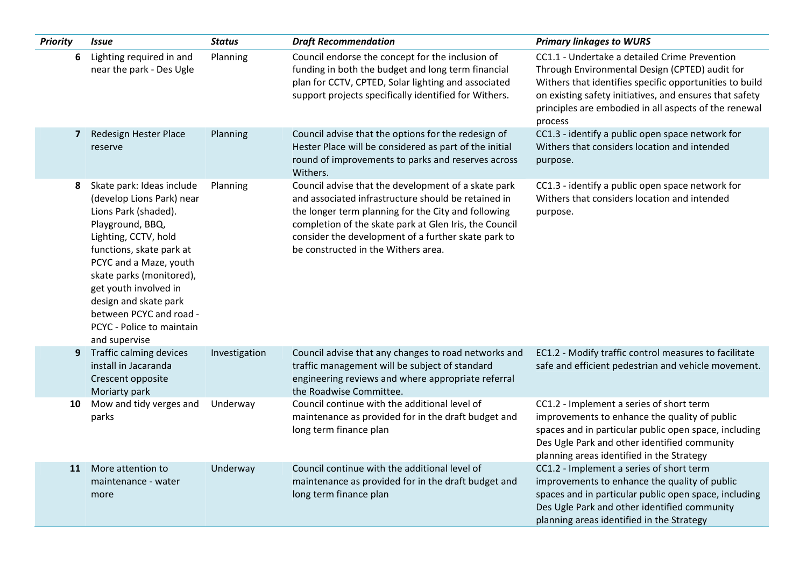| <b>Priority</b> | <b>Issue</b>                                                                                                                                                                                                                                                                                                                            | <b>Status</b> | <b>Draft Recommendation</b>                                                                                                                                                                                                                                                                                               | <b>Primary linkages to WURS</b>                                                                                                                                                                                                                                                           |
|-----------------|-----------------------------------------------------------------------------------------------------------------------------------------------------------------------------------------------------------------------------------------------------------------------------------------------------------------------------------------|---------------|---------------------------------------------------------------------------------------------------------------------------------------------------------------------------------------------------------------------------------------------------------------------------------------------------------------------------|-------------------------------------------------------------------------------------------------------------------------------------------------------------------------------------------------------------------------------------------------------------------------------------------|
| 6               | Lighting required in and<br>near the park - Des Ugle                                                                                                                                                                                                                                                                                    | Planning      | Council endorse the concept for the inclusion of<br>funding in both the budget and long term financial<br>plan for CCTV, CPTED, Solar lighting and associated<br>support projects specifically identified for Withers.                                                                                                    | CC1.1 - Undertake a detailed Crime Prevention<br>Through Environmental Design (CPTED) audit for<br>Withers that identifies specific opportunities to build<br>on existing safety initiatives, and ensures that safety<br>principles are embodied in all aspects of the renewal<br>process |
| $\overline{z}$  | Redesign Hester Place<br>reserve                                                                                                                                                                                                                                                                                                        | Planning      | Council advise that the options for the redesign of<br>Hester Place will be considered as part of the initial<br>round of improvements to parks and reserves across<br>Withers.                                                                                                                                           | CC1.3 - identify a public open space network for<br>Withers that considers location and intended<br>purpose.                                                                                                                                                                              |
| 8               | Skate park: Ideas include<br>(develop Lions Park) near<br>Lions Park (shaded).<br>Playground, BBQ,<br>Lighting, CCTV, hold<br>functions, skate park at<br>PCYC and a Maze, youth<br>skate parks (monitored),<br>get youth involved in<br>design and skate park<br>between PCYC and road -<br>PCYC - Police to maintain<br>and supervise | Planning      | Council advise that the development of a skate park<br>and associated infrastructure should be retained in<br>the longer term planning for the City and following<br>completion of the skate park at Glen Iris, the Council<br>consider the development of a further skate park to<br>be constructed in the Withers area. | CC1.3 - identify a public open space network for<br>Withers that considers location and intended<br>purpose.                                                                                                                                                                              |
| 9               | Traffic calming devices<br>install in Jacaranda<br>Crescent opposite<br>Moriarty park                                                                                                                                                                                                                                                   | Investigation | Council advise that any changes to road networks and<br>traffic management will be subject of standard<br>engineering reviews and where appropriate referral<br>the Roadwise Committee.                                                                                                                                   | EC1.2 - Modify traffic control measures to facilitate<br>safe and efficient pedestrian and vehicle movement.                                                                                                                                                                              |
| 10              | Mow and tidy verges and<br>parks                                                                                                                                                                                                                                                                                                        | Underway      | Council continue with the additional level of<br>maintenance as provided for in the draft budget and<br>long term finance plan                                                                                                                                                                                            | CC1.2 - Implement a series of short term<br>improvements to enhance the quality of public<br>spaces and in particular public open space, including<br>Des Ugle Park and other identified community<br>planning areas identified in the Strategy                                           |
| 11              | More attention to<br>maintenance - water<br>more                                                                                                                                                                                                                                                                                        | Underway      | Council continue with the additional level of<br>maintenance as provided for in the draft budget and<br>long term finance plan                                                                                                                                                                                            | CC1.2 - Implement a series of short term<br>improvements to enhance the quality of public<br>spaces and in particular public open space, including<br>Des Ugle Park and other identified community<br>planning areas identified in the Strategy                                           |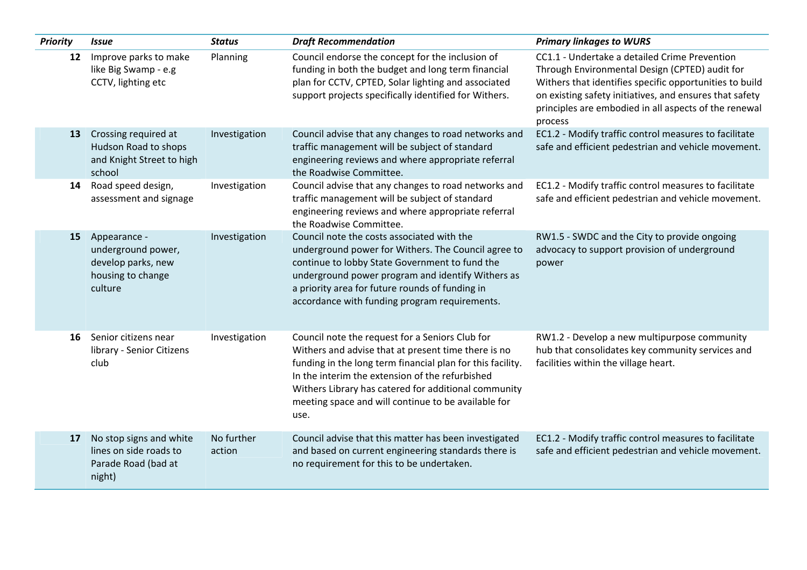| <b>Priority</b> | <b>Issue</b>                                                                             | <b>Status</b>        | <b>Draft Recommendation</b>                                                                                                                                                                                                                                                                                                                    | <b>Primary linkages to WURS</b>                                                                                                                                                                                                                                                           |
|-----------------|------------------------------------------------------------------------------------------|----------------------|------------------------------------------------------------------------------------------------------------------------------------------------------------------------------------------------------------------------------------------------------------------------------------------------------------------------------------------------|-------------------------------------------------------------------------------------------------------------------------------------------------------------------------------------------------------------------------------------------------------------------------------------------|
| 12              | Improve parks to make<br>like Big Swamp - e.g<br>CCTV, lighting etc                      | Planning             | Council endorse the concept for the inclusion of<br>funding in both the budget and long term financial<br>plan for CCTV, CPTED, Solar lighting and associated<br>support projects specifically identified for Withers.                                                                                                                         | CC1.1 - Undertake a detailed Crime Prevention<br>Through Environmental Design (CPTED) audit for<br>Withers that identifies specific opportunities to build<br>on existing safety initiatives, and ensures that safety<br>principles are embodied in all aspects of the renewal<br>process |
| 13              | Crossing required at<br>Hudson Road to shops<br>and Knight Street to high<br>school      | Investigation        | Council advise that any changes to road networks and<br>traffic management will be subject of standard<br>engineering reviews and where appropriate referral<br>the Roadwise Committee.                                                                                                                                                        | EC1.2 - Modify traffic control measures to facilitate<br>safe and efficient pedestrian and vehicle movement.                                                                                                                                                                              |
| 14              | Road speed design,<br>assessment and signage                                             | Investigation        | Council advise that any changes to road networks and<br>traffic management will be subject of standard<br>engineering reviews and where appropriate referral<br>the Roadwise Committee.                                                                                                                                                        | EC1.2 - Modify traffic control measures to facilitate<br>safe and efficient pedestrian and vehicle movement.                                                                                                                                                                              |
| 15              | Appearance -<br>underground power,<br>develop parks, new<br>housing to change<br>culture | Investigation        | Council note the costs associated with the<br>underground power for Withers. The Council agree to<br>continue to lobby State Government to fund the<br>underground power program and identify Withers as<br>a priority area for future rounds of funding in<br>accordance with funding program requirements.                                   | RW1.5 - SWDC and the City to provide ongoing<br>advocacy to support provision of underground<br>power                                                                                                                                                                                     |
| 16              | Senior citizens near<br>library - Senior Citizens<br>club                                | Investigation        | Council note the request for a Seniors Club for<br>Withers and advise that at present time there is no<br>funding in the long term financial plan for this facility.<br>In the interim the extension of the refurbished<br>Withers Library has catered for additional community<br>meeting space and will continue to be available for<br>use. | RW1.2 - Develop a new multipurpose community<br>hub that consolidates key community services and<br>facilities within the village heart.                                                                                                                                                  |
| 17              | No stop signs and white<br>lines on side roads to<br>Parade Road (bad at<br>night)       | No further<br>action | Council advise that this matter has been investigated<br>and based on current engineering standards there is<br>no requirement for this to be undertaken.                                                                                                                                                                                      | EC1.2 - Modify traffic control measures to facilitate<br>safe and efficient pedestrian and vehicle movement.                                                                                                                                                                              |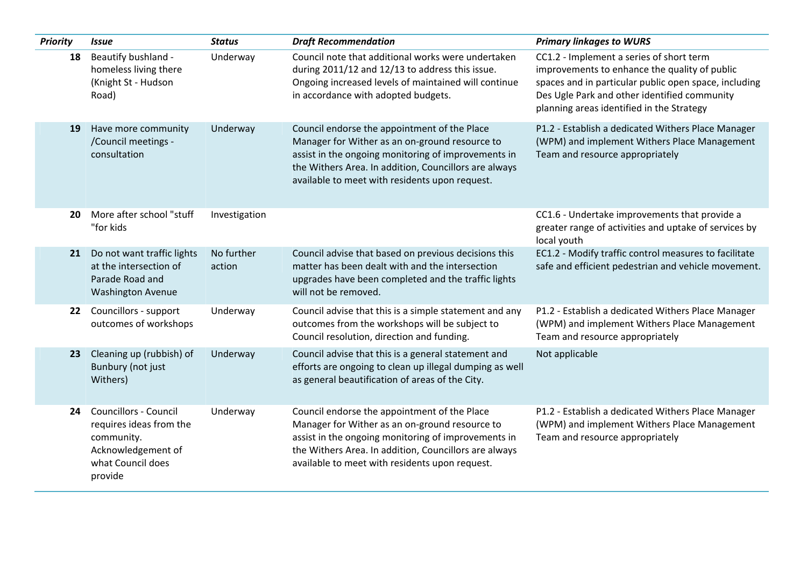| <b>Priority</b> | <b>Issue</b>                                                                                                                | <b>Status</b>        | <b>Draft Recommendation</b>                                                                                                                                                                                                                                      | <b>Primary linkages to WURS</b>                                                                                                                                                                                                                 |
|-----------------|-----------------------------------------------------------------------------------------------------------------------------|----------------------|------------------------------------------------------------------------------------------------------------------------------------------------------------------------------------------------------------------------------------------------------------------|-------------------------------------------------------------------------------------------------------------------------------------------------------------------------------------------------------------------------------------------------|
| 18              | Beautify bushland -<br>homeless living there<br>(Knight St - Hudson<br>Road)                                                | Underway             | Council note that additional works were undertaken<br>during 2011/12 and 12/13 to address this issue.<br>Ongoing increased levels of maintained will continue<br>in accordance with adopted budgets.                                                             | CC1.2 - Implement a series of short term<br>improvements to enhance the quality of public<br>spaces and in particular public open space, including<br>Des Ugle Park and other identified community<br>planning areas identified in the Strategy |
| 19              | Have more community<br>/Council meetings -<br>consultation                                                                  | Underway             | Council endorse the appointment of the Place<br>Manager for Wither as an on-ground resource to<br>assist in the ongoing monitoring of improvements in<br>the Withers Area. In addition, Councillors are always<br>available to meet with residents upon request. | P1.2 - Establish a dedicated Withers Place Manager<br>(WPM) and implement Withers Place Management<br>Team and resource appropriately                                                                                                           |
| 20              | More after school "stuff<br>"for kids                                                                                       | Investigation        |                                                                                                                                                                                                                                                                  | CC1.6 - Undertake improvements that provide a<br>greater range of activities and uptake of services by<br>local youth                                                                                                                           |
| 21              | Do not want traffic lights<br>at the intersection of<br>Parade Road and<br><b>Washington Avenue</b>                         | No further<br>action | Council advise that based on previous decisions this<br>matter has been dealt with and the intersection<br>upgrades have been completed and the traffic lights<br>will not be removed.                                                                           | EC1.2 - Modify traffic control measures to facilitate<br>safe and efficient pedestrian and vehicle movement.                                                                                                                                    |
| 22              | Councillors - support<br>outcomes of workshops                                                                              | Underway             | Council advise that this is a simple statement and any<br>outcomes from the workshops will be subject to<br>Council resolution, direction and funding.                                                                                                           | P1.2 - Establish a dedicated Withers Place Manager<br>(WPM) and implement Withers Place Management<br>Team and resource appropriately                                                                                                           |
| 23              | Cleaning up (rubbish) of<br>Bunbury (not just<br>Withers)                                                                   | Underway             | Council advise that this is a general statement and<br>efforts are ongoing to clean up illegal dumping as well<br>as general beautification of areas of the City.                                                                                                | Not applicable                                                                                                                                                                                                                                  |
| 24              | <b>Councillors - Council</b><br>requires ideas from the<br>community.<br>Acknowledgement of<br>what Council does<br>provide | Underway             | Council endorse the appointment of the Place<br>Manager for Wither as an on-ground resource to<br>assist in the ongoing monitoring of improvements in<br>the Withers Area. In addition, Councillors are always<br>available to meet with residents upon request. | P1.2 - Establish a dedicated Withers Place Manager<br>(WPM) and implement Withers Place Management<br>Team and resource appropriately                                                                                                           |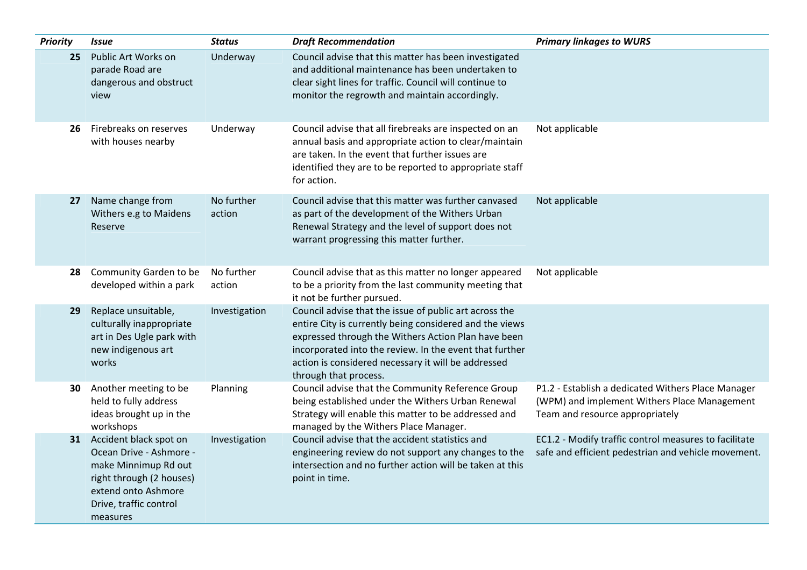| <b>Priority</b> | <i><b>Issue</b></i>                                                                                                                                                   | <b>Status</b>        | <b>Draft Recommendation</b>                                                                                                                                                                                                                                                                                         | <b>Primary linkages to WURS</b>                                                                                                       |
|-----------------|-----------------------------------------------------------------------------------------------------------------------------------------------------------------------|----------------------|---------------------------------------------------------------------------------------------------------------------------------------------------------------------------------------------------------------------------------------------------------------------------------------------------------------------|---------------------------------------------------------------------------------------------------------------------------------------|
| 25              | Public Art Works on<br>parade Road are<br>dangerous and obstruct<br>view                                                                                              | Underway             | Council advise that this matter has been investigated<br>and additional maintenance has been undertaken to<br>clear sight lines for traffic. Council will continue to<br>monitor the regrowth and maintain accordingly.                                                                                             |                                                                                                                                       |
| 26              | Firebreaks on reserves<br>with houses nearby                                                                                                                          | Underway             | Council advise that all firebreaks are inspected on an<br>annual basis and appropriate action to clear/maintain<br>are taken. In the event that further issues are<br>identified they are to be reported to appropriate staff<br>for action.                                                                        | Not applicable                                                                                                                        |
| 27              | Name change from<br>Withers e.g to Maidens<br>Reserve                                                                                                                 | No further<br>action | Council advise that this matter was further canvased<br>as part of the development of the Withers Urban<br>Renewal Strategy and the level of support does not<br>warrant progressing this matter further.                                                                                                           | Not applicable                                                                                                                        |
| 28              | Community Garden to be<br>developed within a park                                                                                                                     | No further<br>action | Council advise that as this matter no longer appeared<br>to be a priority from the last community meeting that<br>it not be further pursued.                                                                                                                                                                        | Not applicable                                                                                                                        |
| 29              | Replace unsuitable,<br>culturally inappropriate<br>art in Des Ugle park with<br>new indigenous art<br>works                                                           | Investigation        | Council advise that the issue of public art across the<br>entire City is currently being considered and the views<br>expressed through the Withers Action Plan have been<br>incorporated into the review. In the event that further<br>action is considered necessary it will be addressed<br>through that process. |                                                                                                                                       |
| 30              | Another meeting to be<br>held to fully address<br>ideas brought up in the<br>workshops                                                                                | Planning             | Council advise that the Community Reference Group<br>being established under the Withers Urban Renewal<br>Strategy will enable this matter to be addressed and<br>managed by the Withers Place Manager.                                                                                                             | P1.2 - Establish a dedicated Withers Place Manager<br>(WPM) and implement Withers Place Management<br>Team and resource appropriately |
|                 | 31 Accident black spot on<br>Ocean Drive - Ashmore -<br>make Minnimup Rd out<br>right through (2 houses)<br>extend onto Ashmore<br>Drive, traffic control<br>measures | Investigation        | Council advise that the accident statistics and<br>engineering review do not support any changes to the<br>intersection and no further action will be taken at this<br>point in time.                                                                                                                               | EC1.2 - Modify traffic control measures to facilitate<br>safe and efficient pedestrian and vehicle movement.                          |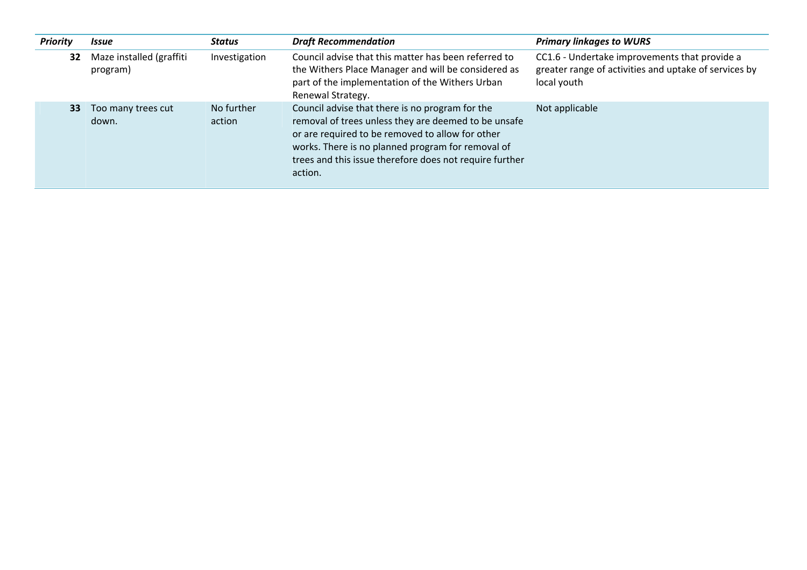| <b>Priority</b> | <b>Issue</b>                         | Status               | <b>Draft Recommendation</b>                                                                                                                                                                                                                                                            | <b>Primary linkages to WURS</b>                                                                                       |
|-----------------|--------------------------------------|----------------------|----------------------------------------------------------------------------------------------------------------------------------------------------------------------------------------------------------------------------------------------------------------------------------------|-----------------------------------------------------------------------------------------------------------------------|
| 32              | Maze installed (graffiti<br>program) | Investigation        | Council advise that this matter has been referred to<br>the Withers Place Manager and will be considered as<br>part of the implementation of the Withers Urban<br>Renewal Strategy.                                                                                                    | CC1.6 - Undertake improvements that provide a<br>greater range of activities and uptake of services by<br>local youth |
| 33              | Too many trees cut<br>down.          | No further<br>action | Council advise that there is no program for the<br>removal of trees unless they are deemed to be unsafe<br>or are required to be removed to allow for other<br>works. There is no planned program for removal of<br>trees and this issue therefore does not require further<br>action. | Not applicable                                                                                                        |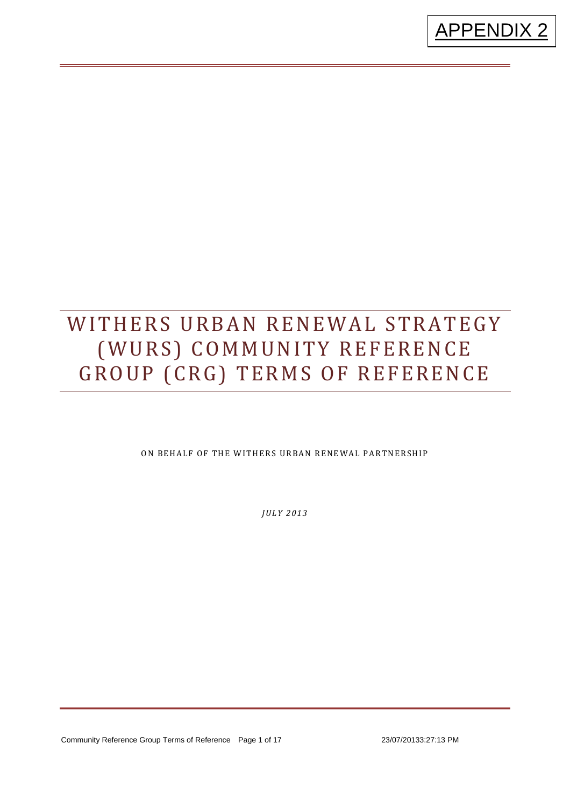

# WITHERS URBAN RENEWAL STRATEGY (WURS) COMMUNITY REFERENCE GROUP (CRG) TERMS OF REFERENCE

ON BEHALF OF THE WITHERS URBAN RENEWAL PARTNERSHIP

*JULY 2013*

Community Reference Group Terms of Reference Page 1 of 17 23/07/20133:27:13 PM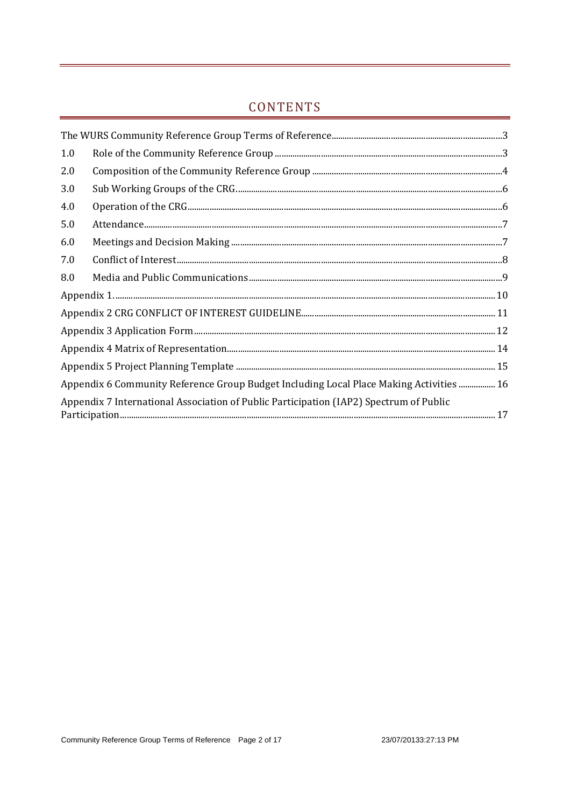## CONTENTS

| 1.0                                                                                    |                                                                                         |  |  |  |
|----------------------------------------------------------------------------------------|-----------------------------------------------------------------------------------------|--|--|--|
| 2.0                                                                                    |                                                                                         |  |  |  |
| 3.0                                                                                    |                                                                                         |  |  |  |
| 4.0                                                                                    | $\label{eq:1} {\rm Operation~of~the~CRG}.\nonumber\\ {\rm 1)}\quad$                     |  |  |  |
| 5.0                                                                                    |                                                                                         |  |  |  |
| 6.0                                                                                    |                                                                                         |  |  |  |
| 7.0                                                                                    |                                                                                         |  |  |  |
| 8.0                                                                                    |                                                                                         |  |  |  |
|                                                                                        |                                                                                         |  |  |  |
|                                                                                        |                                                                                         |  |  |  |
|                                                                                        |                                                                                         |  |  |  |
|                                                                                        |                                                                                         |  |  |  |
|                                                                                        |                                                                                         |  |  |  |
|                                                                                        | Appendix 6 Community Reference Group Budget Including Local Place Making Activities  16 |  |  |  |
| Appendix 7 International Association of Public Participation (IAP2) Spectrum of Public |                                                                                         |  |  |  |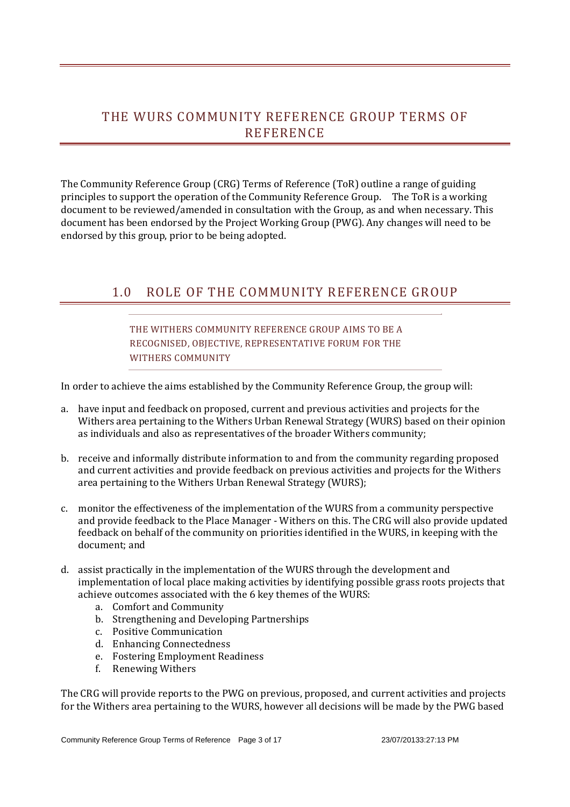## THE WURS COMMUNITY REFERENCE GROUP TERMS OF REFERENCE

The Community Reference Group (CRG) Terms of Reference (ToR) outline a range of guiding principles to support the operation of the Community Reference Group. The ToR is a working document to be reviewed/amended in consultation with the Group, as and when necessary. This document has been endorsed by the Project Working Group (PWG). Any changes will need to be endorsed by this group, prior to be being adopted.

## 1.0 ROLE OF THE COMMUNITY REFERENCE GROUP

#### THE WITHERS COMMUNITY REFERENCE GROUP AIMS TO BE A RECOGNISED, OBJECTIVE, REPRESENTATIVE FORUM FOR THE WITHERS COMMUNITY

In order to achieve the aims established by the Community Reference Group, the group will:

- a. have input and feedback on proposed, current and previous activities and projects for the Withers area pertaining to the Withers Urban Renewal Strategy (WURS) based on their opinion as individuals and also as representatives of the broader Withers community;
- b. receive and informally distribute information to and from the community regarding proposed and current activities and provide feedback on previous activities and projects for the Withers area pertaining to the Withers Urban Renewal Strategy (WURS);
- c. monitor the effectiveness of the implementation of the WURS from a community perspective and provide feedback to the Place Manager - Withers on this. The CRG will also provide updated feedback on behalf of the community on priorities identified in the WURS, in keeping with the document: and
- d. assist practically in the implementation of the WURS through the development and implementation of local place making activities by identifying possible grass roots projects that achieve outcomes associated with the 6 key themes of the WURS:
	- a. Comfort and Community
	- b. Strengthening and Developing Partnerships
	- c. Positive Communication
	- d. Enhancing Connectedness
	- e. Fostering Employment Readiness
	- f. Renewing Withers

The CRG will provide reports to the PWG on previous, proposed, and current activities and projects for the Withers area pertaining to the WURS, however all decisions will be made by the PWG based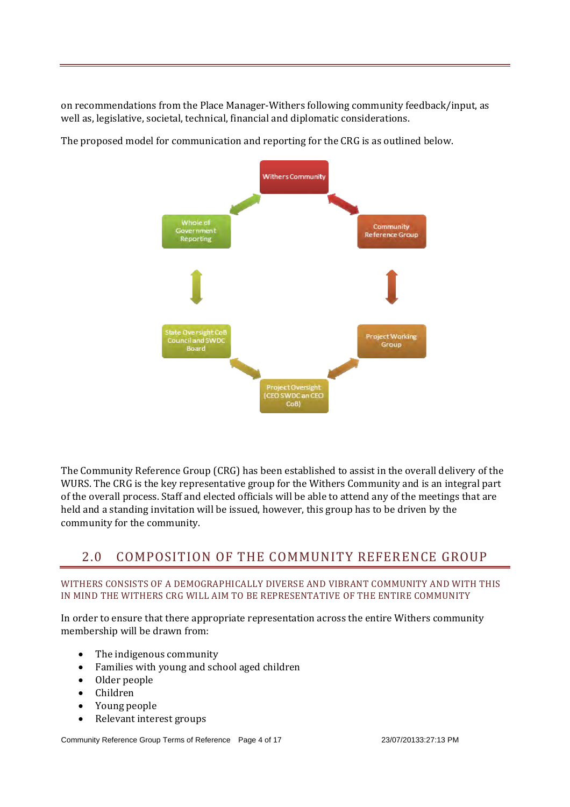on recommendations from the Place Manager-Withers following community feedback/input, as well as, legislative, societal, technical, financial and diplomatic considerations.



The proposed model for communication and reporting for the CRG is as outlined below.

The Community Reference Group (CRG) has been established to assist in the overall delivery of the WURS. The CRG is the key representative group for the Withers Community and is an integral part of the overall process. Staff and elected officials will be able to attend any of the meetings that are held and a standing invitation will be issued, however, this group has to be driven by the community for the community.

## 2.0 COMPOSITION OF THE COMMUNITY REFERENCE GROUP

#### WITHERS CONSISTS OF A DEMOGRAPHICALLY DIVERSE AND VIBRANT COMMUNITY AND WITH THIS IN MIND THE WITHERS CRG WILL AIM TO BE REPRESENTATIVE OF THE ENTIRE COMMUNITY

In order to ensure that there appropriate representation across the entire Withers community membership will be drawn from:

- $\bullet$  The indigenous community
- Families with young and school aged children
- Older people
- Children
- Young people
- Relevant interest groups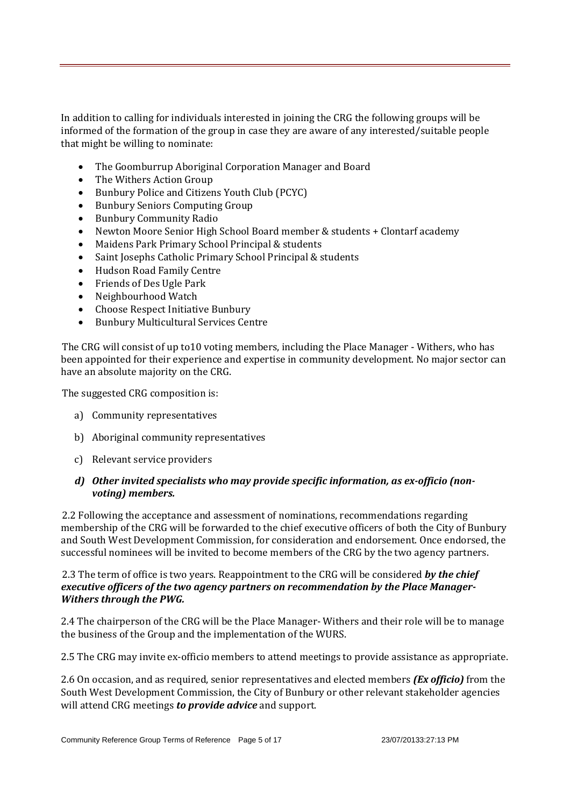In addition to calling for individuals interested in joining the CRG the following groups will be informed of the formation of the group in case they are aware of any interested/suitable people that might be willing to nominate:

- The Goomburrup Aboriginal Corporation Manager and Board
- The Withers Action Group
- Bunbury Police and Citizens Youth Club (PCYC)
- Bunbury Seniors Computing Group
- Bunbury Community Radio
- Newton Moore Senior High School Board member & students + Clontarf academy
- Maidens Park Primary School Principal & students
- Saint Josephs Catholic Primary School Principal & students
- Hudson Road Family Centre
- Friends of Des Ugle Park
- Neighbourhood Watch
- Choose Respect Initiative Bunbury
- Bunbury Multicultural Services Centre

The CRG will consist of up to10 voting members, including the Place Manager - Withers, who has been appointed for their experience and expertise in community development. No major sector can have an absolute majority on the CRG.

The suggested CRG composition is:

- a) Community representatives
- b) Aboriginal community representatives
- c) Relevant service providers

#### *d) Other invited specialists who may provide specific information, as ex‐officio (non‐ voting) members.*

2.2 Following the acceptance and assessment of nominations, recommendations regarding membership of the CRG will be forwarded to the chief executive officers of both the City of Bunbury and South West Development Commission, for consideration and endorsement. Once endorsed, the successful nominees will be invited to become members of the CRG by the two agency partners.

2.3 The term of office is two years. Reappointment to the CRG will be considered **by the chief** *executive officers of the two agency partners on recommendation by the Place Manager‐ Withers through the PWG.*

2.4 The chairperson of the CRG will be the Place Manager- Withers and their role will be to manage the business of the Group and the implementation of the WURS.

2.5 The CRG may invite ex-officio members to attend meetings to provide assistance as appropriate.

2.6 On occasion, and as required, senior representatives and elected members *(Ex officio)* from the South West Development Commission, the City of Bunbury or other relevant stakeholder agencies will attend CRG meetings *to provide advice* and support.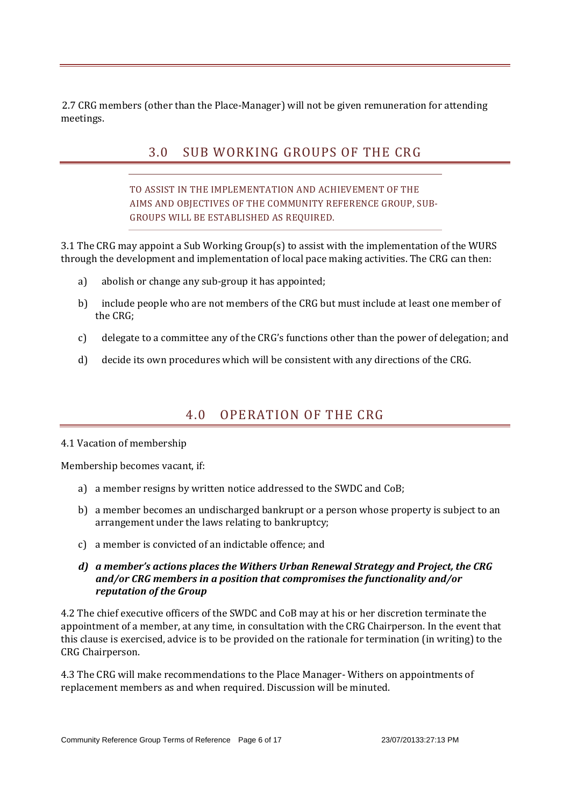2.7 CRG members (other than the Place-Manager) will not be given remuneration for attending meetings. 

## 3.0 SUB WORKING GROUPS OF THE CRG

TO ASSIST IN THE IMPLEMENTATION AND ACHIEVEMENT OF THE AIMS AND OBJECTIVES OF THE COMMUNITY REFERENCE GROUP, SUB-GROUPS WILL BE ESTABLISHED AS REQUIRED.

3.1 The CRG may appoint a Sub Working Group(s) to assist with the implementation of the WURS through the development and implementation of local pace making activities. The CRG can then:

- a) abolish or change any sub-group it has appointed;
- b) include people who are not members of the CRG but must include at least one member of the CRG:
- c) delegate to a committee any of the  $CRG's$  functions other than the power of delegation; and
- d) decide its own procedures which will be consistent with any directions of the CRG.

## 4.0 OPERATION OF THE CRG

#### 4.1 Vacation of membership

Membership becomes vacant, if:

- a) a member resigns by written notice addressed to the SWDC and CoB:
- b) a member becomes an undischarged bankrupt or a person whose property is subject to an arrangement under the laws relating to bankruptcy;
- c) a member is convicted of an indictable offence; and

#### *d) a member's actions places the Withers Urban Renewal Strategy and Project, the CRG and/or CRG members in a position that compromises the functionality and/or reputation of the Group*

4.2 The chief executive officers of the SWDC and CoB may at his or her discretion terminate the appointment of a member, at any time, in consultation with the CRG Chairperson. In the event that this clause is exercised, advice is to be provided on the rationale for termination (in writing) to the CRG Chairperson.

4.3 The CRG will make recommendations to the Place Manager- Withers on appointments of replacement members as and when required. Discussion will be minuted.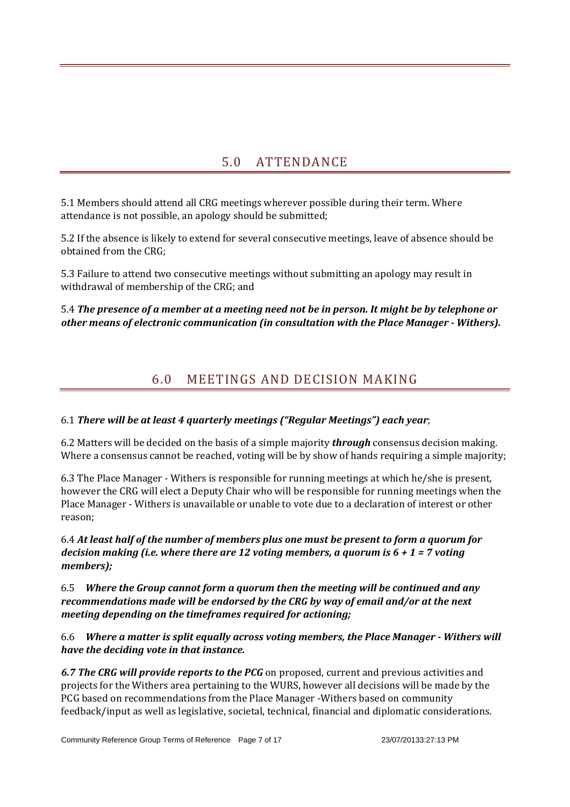## 5.0 ATTENDANCE

5.1 Members should attend all CRG meetings wherever possible during their term. Where attendance is not possible, an apology should be submitted:

5.2 If the absence is likely to extend for several consecutive meetings, leave of absence should be obtained from the CRG;

5.3 Failure to attend two consecutive meetings without submitting an apology may result in withdrawal of membership of the CRG; and

#### 5.4 The presence of a member at a meeting need not be in person. It might be by telephone or *other means of electronic communication (in consultation with the Place Manager ‐ Withers).*

## 6.0 MEETINGS AND DECISION MAKING

#### 6.1 *There will be at least 4 quarterly meetings ("Regular Meetings") each year*;

6.2 Matters will be decided on the basis of a simple majority *through* consensus decision making. Where a consensus cannot be reached, voting will be by show of hands requiring a simple majority;

6.3 The Place Manager - Withers is responsible for running meetings at which he/she is present. however the CRG will elect a Deputy Chair who will be responsible for running meetings when the Place Manager - Withers is unavailable or unable to vote due to a declaration of interest or other reason; 

6.4 *At least half of the number of members plus one must be present to form a quorum for decision making (i.e. where there are 12 voting members, a quorum is 6 + 1 = 7 voting members)*;

#### 6.5 *Where the Group cannot form a quorum then the meeting will be continued and any recommendations made will be endorsed by the CRG by way of email and/or at the next meeting depending on the timeframes required for actioning;*

6.6 *Where a matter is split equally across voting members, the Place Manager ‐ Withers will have the deciding vote in that instance.*

**6.7 The CRG will provide reports to the PCG** on proposed, current and previous activities and projects for the Withers area pertaining to the WURS, however all decisions will be made by the PCG based on recommendations from the Place Manager -Withers based on community feedback/input as well as legislative, societal, technical, financial and diplomatic considerations.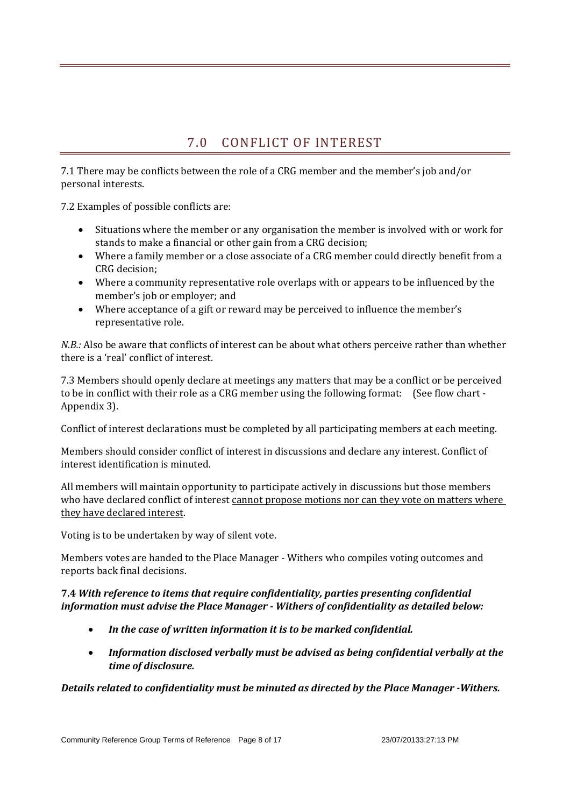## 7.0 CONFLICT OF INTEREST

7.1 There may be conflicts between the role of a CRG member and the member's job and/or personal interests.

7.2 Examples of possible conflicts are:

- Situations where the member or any organisation the member is involved with or work for stands to make a financial or other gain from a CRG decision;
- Where a family member or a close associate of a CRG member could directly benefit from a CRG decision:
- Where a community representative role overlaps with or appears to be influenced by the member's job or employer; and
- Where acceptance of a gift or reward may be perceived to influence the member's representative role.

*N.B.:* Also be aware that conflicts of interest can be about what others perceive rather than whether there is a 'real' conflict of interest.

7.3 Members should openly declare at meetings any matters that may be a conflict or be perceived to be in conflict with their role as a CRG member using the following format: (See flow chart -Appendix 3).

Conflict of interest declarations must be completed by all participating members at each meeting.

Members should consider conflict of interest in discussions and declare any interest. Conflict of interest identification is minuted.

All members will maintain opportunity to participate actively in discussions but those members who have declared conflict of interest cannot propose motions nor can they vote on matters where they have declared interest.

Voting is to be undertaken by way of silent vote.

Members votes are handed to the Place Manager - Withers who compiles voting outcomes and reports back final decisions.

#### **7.4** *With reference to items that require confidentiality, parties presenting confidential information must advise the Place Manager ‐ Withers of confidentiality as detailed below:*

- *In the case of written information it is to be marked confidential.*
- *Information disclosed verbally must be advised as being confidential verbally at the time of disclosure.*

*Details related to confidentiality must be minuted as directed by the Place Manager ‐Withers.*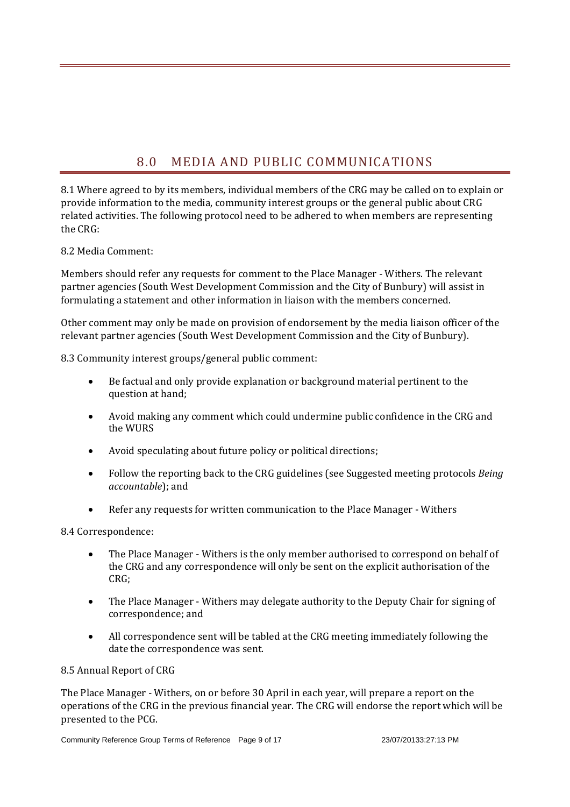## 8.0 MEDIA AND PUBLIC COMMUNICATIONS

8.1 Where agreed to by its members, individual members of the CRG may be called on to explain or provide information to the media, community interest groups or the general public about CRG related activities. The following protocol need to be adhered to when members are representing the CRG:

#### 8.2 Media Comment:

Members should refer any requests for comment to the Place Manager - Withers. The relevant partner agencies (South West Development Commission and the City of Bunbury) will assist in formulating a statement and other information in liaison with the members concerned.

Other comment may only be made on provision of endorsement by the media liaison officer of the relevant partner agencies (South West Development Commission and the City of Bunbury).

8.3 Community interest groups/general public comment:

- Be factual and only provide explanation or background material pertinent to the question at hand;
- Avoid making any comment which could undermine public confidence in the CRG and the WURS
- Avoid speculating about future policy or political directions;
- Follow the reporting back to the CRG guidelines (see Suggested meeting protocols *Being accountable*); and
- Refer any requests for written communication to the Place Manager Withers

8.4 Correspondence: 

- The Place Manager Withers is the only member authorised to correspond on behalf of the CRG and any correspondence will only be sent on the explicit authorisation of the CRG;
- The Place Manager Withers may delegate authority to the Deputy Chair for signing of correspondence; and
- All correspondence sent will be tabled at the CRG meeting immediately following the date the correspondence was sent.

#### 8.5 Annual Report of CRG

The Place Manager - Withers, on or before 30 April in each year, will prepare a report on the operations of the CRG in the previous financial year. The CRG will endorse the report which will be presented to the PCG.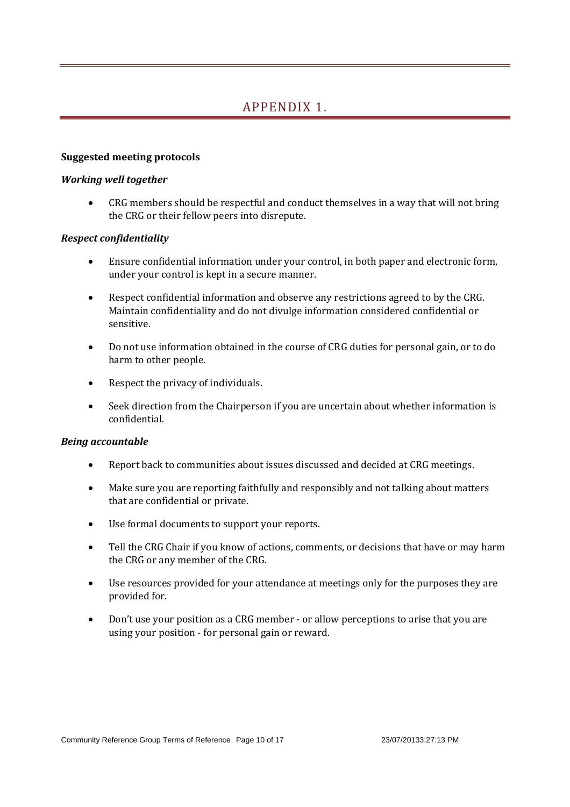## APPENDIX 1.

#### **Suggested meeting protocols**

#### *Working well together*

• CRG members should be respectful and conduct themselves in a way that will not bring the CRG or their fellow peers into disrepute.

#### *Respect confidentiality*

- Ensure confidential information under your control, in both paper and electronic form, under your control is kept in a secure manner.
- Respect confidential information and observe any restrictions agreed to by the CRG. Maintain confidentiality and do not divulge information considered confidential or sensitive.
- Do not use information obtained in the course of CRG duties for personal gain, or to do harm to other people.
- $\bullet$  Respect the privacy of individuals.
- Seek direction from the Chairperson if you are uncertain about whether information is confidential.

#### *Being accountable*

- Report back to communities about issues discussed and decided at CRG meetings.
- Make sure you are reporting faithfully and responsibly and not talking about matters that are confidential or private.
- Use formal documents to support your reports.
- Tell the CRG Chair if you know of actions, comments, or decisions that have or may harm the CRG or any member of the CRG.
- Use resources provided for your attendance at meetings only for the purposes they are provided for.
- Don't use your position as a CRG member or allow perceptions to arise that you are using your position - for personal gain or reward.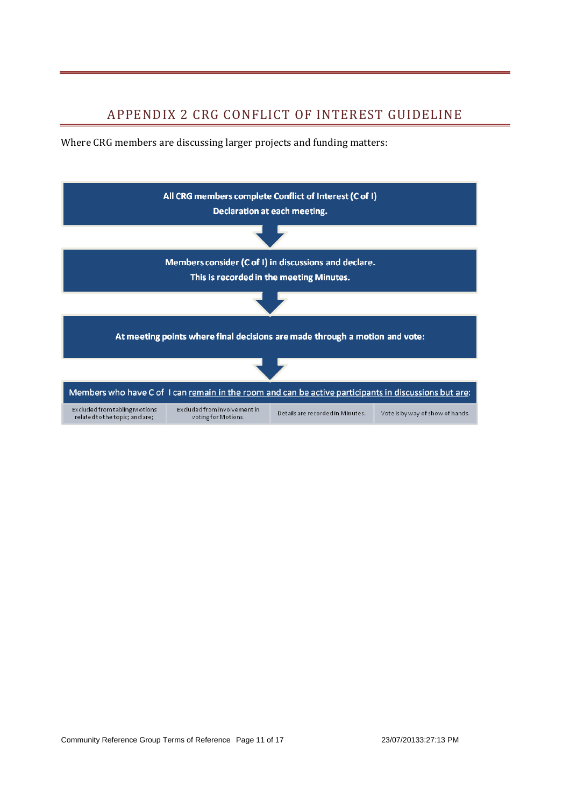## APPENDIX 2 CRG CONFLICT OF INTEREST GUIDELINE

Where CRG members are discussing larger projects and funding matters:

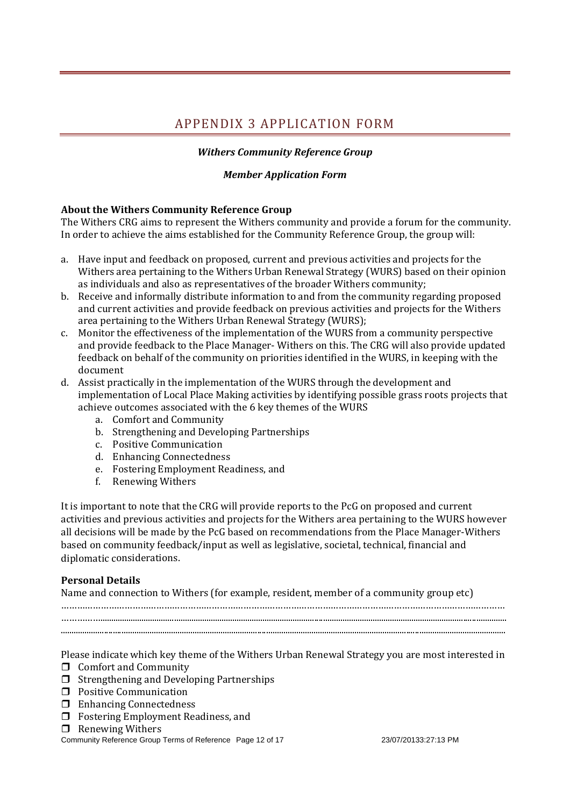## APPENDIX 3 APPLICATION FORM

#### *Withers Community Reference Group*

#### *Member Application Form*

#### **About the Withers Community Reference Group**

The Withers CRG aims to represent the Withers community and provide a forum for the community. In order to achieve the aims established for the Community Reference Group, the group will:

- a. Have input and feedback on proposed, current and previous activities and projects for the Withers area pertaining to the Withers Urban Renewal Strategy (WURS) based on their opinion as individuals and also as representatives of the broader Withers community;
- b. Receive and informally distribute information to and from the community regarding proposed and current activities and provide feedback on previous activities and projects for the Withers area pertaining to the Withers Urban Renewal Strategy (WURS):
- c. Monitor the effectiveness of the implementation of the WURS from a community perspective and provide feedback to the Place Manager- Withers on this. The CRG will also provide updated feedback on behalf of the community on priorities identified in the WURS, in keeping with the document
- d. Assist practically in the implementation of the WURS through the development and implementation of Local Place Making activities by identifying possible grass roots projects that achieve outcomes associated with the 6 key themes of the WURS
	- a. Comfort and Community
	- b. Strengthening and Developing Partnerships
	- c. Positive Communication
	- d. Enhancing Connectedness
	- e. Fostering Employment Readiness, and
	- f. Renewing Withers

It is important to note that the CRG will provide reports to the PcG on proposed and current activities and previous activities and projects for the Withers area pertaining to the WURS however all decisions will be made by the PcG based on recommendations from the Place Manager-Withers based on community feedback/input as well as legislative, societal, technical, financial and diplomatic considerations.

#### **Personal Details**

Name and connection to Withers (for example, resident, member of a community group etc)

…………………………………………………………………………………………………………………………………………………… ……………............................................................................................................................................................................................ .............................................................................................................................................................................................................. 

Please indicate which key theme of the Withers Urban Renewal Strategy you are most interested in

- $\Box$  Comfort and Community
- $\Box$  Strengthening and Developing Partnerships
- $\Box$  Positive Communication
- $\Box$  Enhancing Connectedness
- $\Box$  Fostering Employment Readiness, and
- $\Box$  Renewing Withers

#### Community Reference Group Terms of Reference Page 12 of 17 23/07/20133:27:13 PM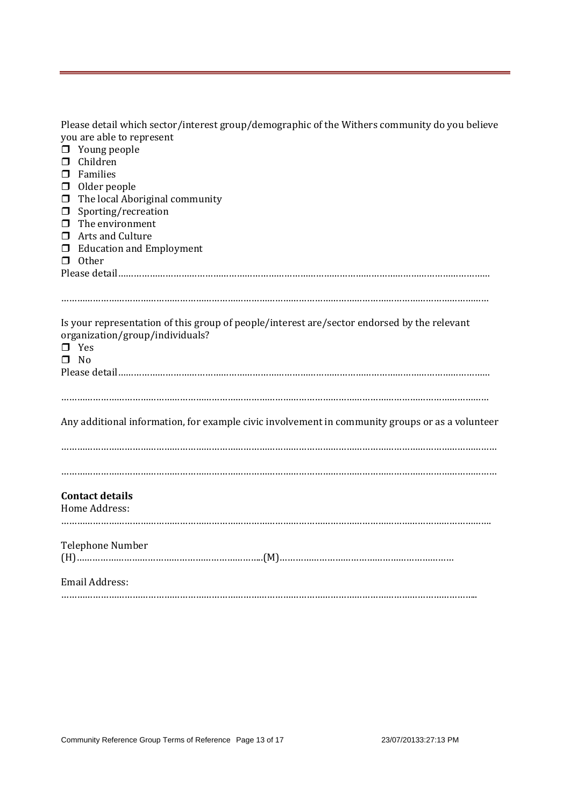| Please detail which sector/interest group/demographic of the Withers community do you believe |
|-----------------------------------------------------------------------------------------------|
| you are able to represent                                                                     |

| $\Box$<br>Young people                                                                          |
|-------------------------------------------------------------------------------------------------|
| Children<br>□                                                                                   |
| Families<br>□                                                                                   |
| Older people<br>$\Box$                                                                          |
| The local Aboriginal community<br>$\Box$                                                        |
| Sporting/recreation<br>$\Box$                                                                   |
| The environment<br>$\Box$                                                                       |
| Arts and Culture<br>□                                                                           |
| <b>Education and Employment</b><br>□                                                            |
| Other<br>$\Box$                                                                                 |
|                                                                                                 |
|                                                                                                 |
|                                                                                                 |
|                                                                                                 |
| Is your representation of this group of people/interest are/sector endorsed by the relevant     |
| organization/group/individuals?                                                                 |
| $\Box$ Yes                                                                                      |
| $\square$ No                                                                                    |
|                                                                                                 |
|                                                                                                 |
|                                                                                                 |
|                                                                                                 |
| Any additional information, for example civic involvement in community groups or as a volunteer |
|                                                                                                 |
|                                                                                                 |
|                                                                                                 |
|                                                                                                 |
|                                                                                                 |
| <b>Contact details</b>                                                                          |
| Home Address:                                                                                   |
|                                                                                                 |
| <b>Telephone Number</b>                                                                         |
|                                                                                                 |
|                                                                                                 |
| Email Address:                                                                                  |
|                                                                                                 |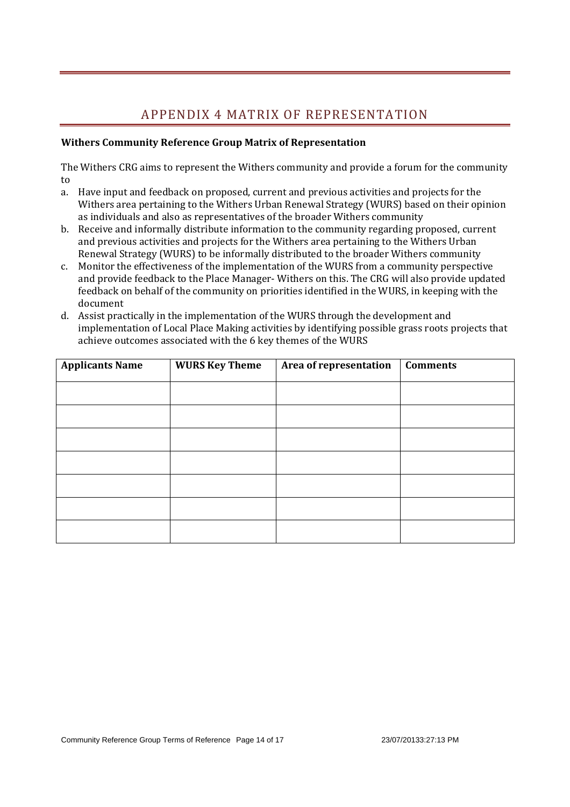## APPENDIX 4 MATRIX OF REPRESENTATION

#### **Withers Community Reference Group Matrix of Representation**

The Withers CRG aims to represent the Withers community and provide a forum for the community to

- a. Have input and feedback on proposed, current and previous activities and projects for the Withers area pertaining to the Withers Urban Renewal Strategy (WURS) based on their opinion as individuals and also as representatives of the broader Withers community
- b. Receive and informally distribute information to the community regarding proposed, current and previous activities and projects for the Withers area pertaining to the Withers Urban Renewal Strategy (WURS) to be informally distributed to the broader Withers community
- c. Monitor the effectiveness of the implementation of the WURS from a community perspective and provide feedback to the Place Manager- Withers on this. The CRG will also provide updated feedback on behalf of the community on priorities identified in the WURS, in keeping with the document
- d. Assist practically in the implementation of the WURS through the development and implementation of Local Place Making activities by identifying possible grass roots projects that achieve outcomes associated with the 6 key themes of the WURS

| <b>Applicants Name</b> | <b>WURS Key Theme</b> | Area of representation | <b>Comments</b> |
|------------------------|-----------------------|------------------------|-----------------|
|                        |                       |                        |                 |
|                        |                       |                        |                 |
|                        |                       |                        |                 |
|                        |                       |                        |                 |
|                        |                       |                        |                 |
|                        |                       |                        |                 |
|                        |                       |                        |                 |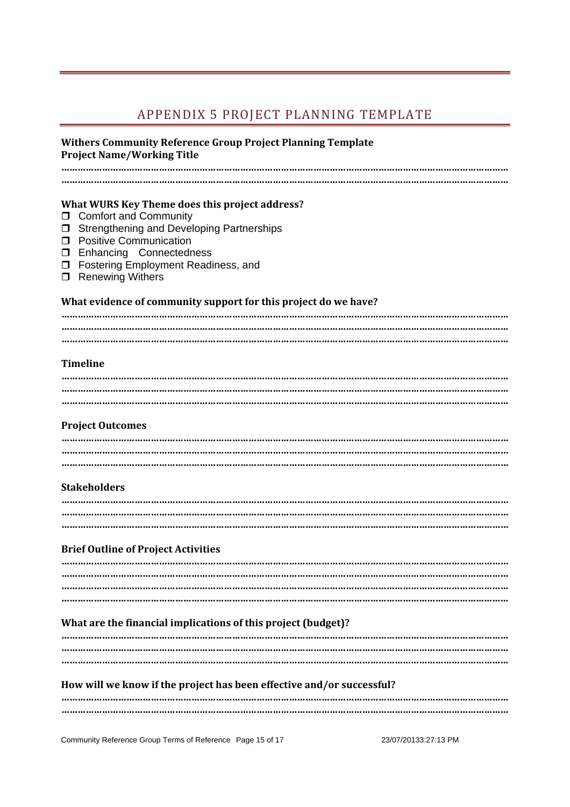## APPENDIX 5 PROJECT PLANNING TEMPLATE

#### **Withers Community Reference Group Project Planning Template Project Name/Working Title**

**………………………………………………………………………………………………………………………………………………… …………………………………………………………………………………………………………………………………………………**

#### **What WURS Key Theme does this project address?**

- **Comfort and Community**
- **J** Strengthening and Developing Partnerships
- **D** Positive Communication
- **I** Enhancing Connectedness
- □ Fostering Employment Readiness, and
- □ Renewing Withers

#### **What evidence of community support for this project do we have?**

#### **Timeline**

#### **Project Outcomes**

#### **Stakeholders**

#### **Brief Outline of Project Activities**

#### **What are the financial implications of this project (budget)?**

#### **How will we know if the project has been effective and/or successful?**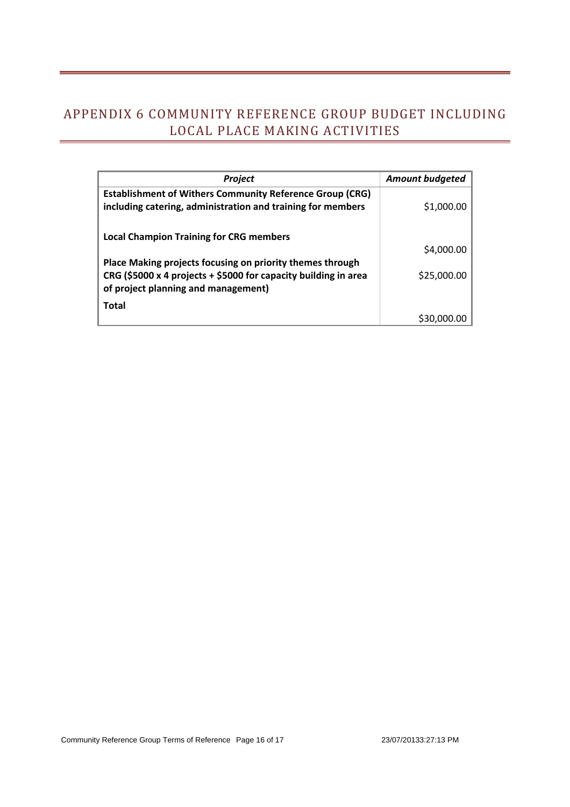## APPENDIX 6 COMMUNITY REFERENCE GROUP BUDGET INCLUDING LOCAL PLACE MAKING ACTIVITIES

| Project                                                                                                                                                             | <b>Amount budgeted</b> |
|---------------------------------------------------------------------------------------------------------------------------------------------------------------------|------------------------|
| <b>Establishment of Withers Community Reference Group (CRG)</b><br>including catering, administration and training for members                                      | \$1,000.00             |
| <b>Local Champion Training for CRG members</b>                                                                                                                      | \$4,000.00             |
| Place Making projects focusing on priority themes through<br>CRG (\$5000 x 4 projects + \$5000 for capacity building in area<br>of project planning and management) | \$25,000.00            |
| <b>Total</b>                                                                                                                                                        | \$30,00                |